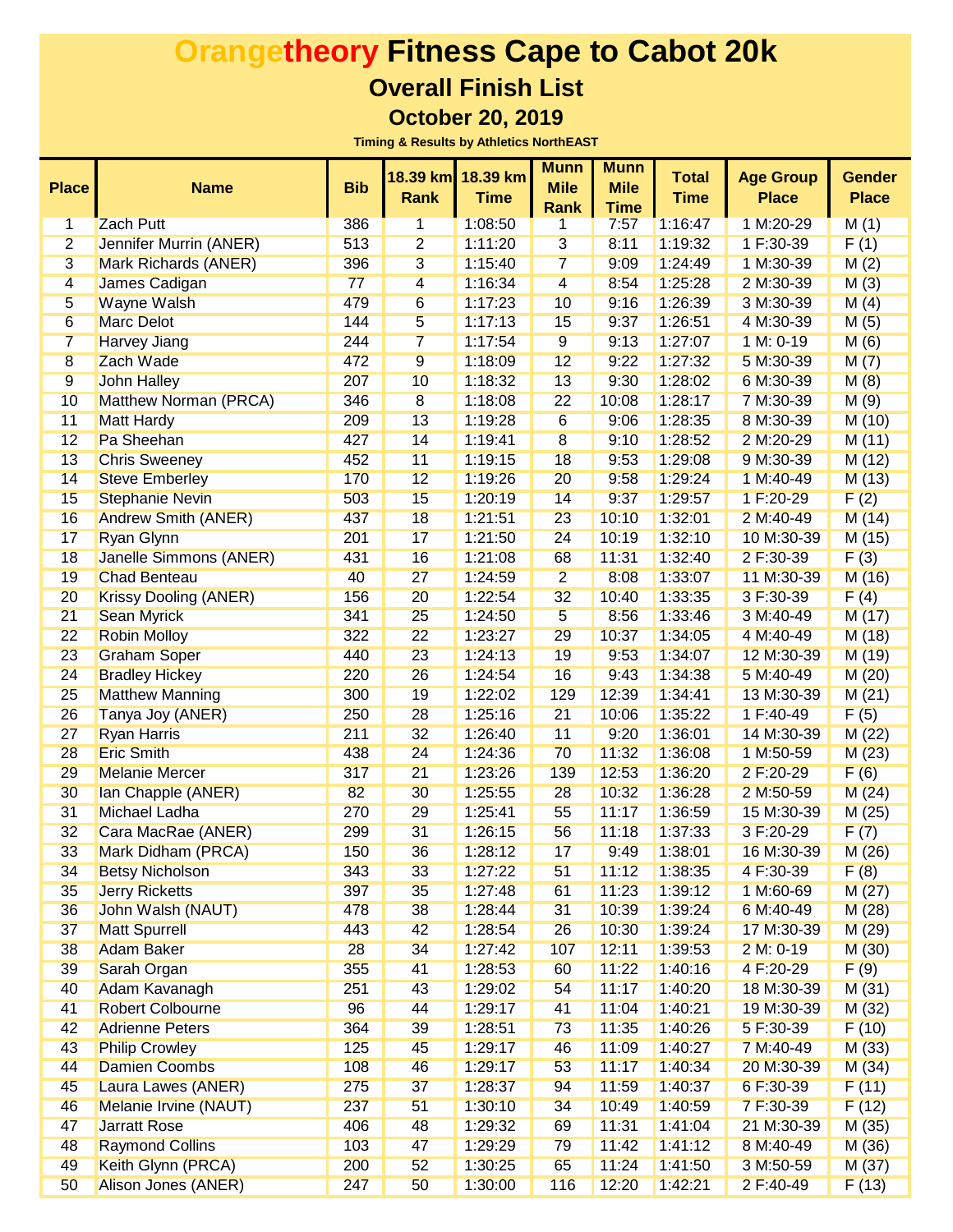| <b>Place</b>    | <b>Name</b>                   | <b>Bib</b> | <b>Rank</b>     | 18.39 km 18.39 km<br><b>Time</b> | <b>Munn</b><br><b>Mile</b><br><b>Rank</b> | <b>Munn</b><br><b>Mile</b><br><b>Time</b> | <b>Total</b><br><b>Time</b> | <b>Age Group</b><br><b>Place</b> | <b>Gender</b><br><b>Place</b> |
|-----------------|-------------------------------|------------|-----------------|----------------------------------|-------------------------------------------|-------------------------------------------|-----------------------------|----------------------------------|-------------------------------|
| 1               | <b>Zach Putt</b>              | 386        | 1               | 1:08:50                          | 1                                         | 7:57                                      | 1:16:47                     | 1 M:20-29                        | M(1)                          |
| $\overline{2}$  | <b>Jennifer Murrin (ANER)</b> | 513        | $\overline{2}$  | 1:11:20                          | $\overline{3}$                            | 8:11                                      | 1:19:32                     | 1 F:30-39                        | F(1)                          |
| $\overline{3}$  | <b>Mark Richards (ANER)</b>   | 396        | $\overline{3}$  | 1:15:40                          | $\overline{7}$                            | 9:09                                      | 1:24:49                     | 1 M:30-39                        | M(2)                          |
| 4               | James Cadigan                 | 77         | $\overline{4}$  | 1:16:34                          | $\overline{4}$                            | 8:54                                      | 1:25:28                     | 2 M:30-39                        | M(3)                          |
| 5               | <b>Wayne Walsh</b>            | 479        | $6\overline{6}$ | 1:17:23                          | 10                                        | 9:16                                      | 1:26:39                     | 3 M:30-39                        | M(4)                          |
| $6\overline{6}$ | <b>Marc Delot</b>             | 144        | $\overline{5}$  | 1:17:13                          | 15                                        | 9:37                                      | 1:26:51                     | 4 M:30-39                        | M(5)                          |
| $\overline{7}$  | <b>Harvey Jiang</b>           | 244        | $\overline{7}$  | 1:17:54                          | 9                                         | 9:13                                      | 1:27:07                     | 1 M: 0-19                        | M(6)                          |
| $\overline{8}$  | <b>Zach Wade</b>              | 472        | 9               | 1:18:09                          | 12                                        | 9:22                                      | 1:27:32                     | 5 M:30-39                        | M(7)                          |
| 9               | <b>John Halley</b>            | 207        | 10              | 1:18:32                          | 13                                        | 9:30                                      | 1:28:02                     | 6 M:30-39                        | M(8)                          |
| 10              | <b>Matthew Norman (PRCA)</b>  | 346        | $\overline{8}$  | 1:18:08                          | 22                                        | 10:08                                     | 1:28:17                     | 7 M:30-39                        | M(9)                          |
| 11              | <b>Matt Hardy</b>             | 209        | 13              | 1:19:28                          | 6                                         | 9:06                                      | 1:28:35                     | 8 M:30-39                        | M(10)                         |
| 12              | Pa Sheehan                    | 427        | 14              | 1:19:41                          | $\overline{8}$                            | 9:10                                      | 1:28:52                     | 2 M:20-29                        | M(11)                         |
| 13              | <b>Chris Sweeney</b>          | 452        | 11              | 1:19:15                          | 18                                        | 9:53                                      | 1:29:08                     | 9 M:30-39                        | M(12)                         |
| 14              | <b>Steve Emberley</b>         | 170        | 12              | 1:19:26                          | 20                                        | 9:58                                      | 1:29:24                     | 1 M:40-49                        | M(13)                         |
| 15              | <b>Stephanie Nevin</b>        | 503        | 15              | 1:20:19                          | 14                                        | 9:37                                      | 1:29:57                     | 1 F:20-29                        | F(2)                          |
| 16              | <b>Andrew Smith (ANER)</b>    | 437        | 18              | 1:21:51                          | 23                                        | 10:10                                     | 1:32:01                     | 2 M:40-49                        | M(14)                         |
| 17              | <b>Ryan Glynn</b>             | 201        | 17              | 1:21:50                          | 24                                        | 10:19                                     | 1:32:10                     | 10 M:30-39                       | M(15)                         |
| 18              | <b>Janelle Simmons (ANER)</b> | 431        | 16              | 1:21:08                          | 68                                        | 11:31                                     | 1:32:40                     | 2 F:30-39                        | F(3)                          |
| 19              | <b>Chad Benteau</b>           | 40         | 27              | 1:24:59                          | $\overline{2}$                            | 8:08                                      | 1:33:07                     | 11 M:30-39                       | M (16)                        |
| 20              | <b>Krissy Dooling (ANER)</b>  | 156        | 20              | 1:22:54                          | 32                                        | 10:40                                     | 1:33:35                     | 3 F:30-39                        | F(4)                          |
| 21              | <b>Sean Myrick</b>            | 341        | 25              | 1:24:50                          | 5                                         | 8:56                                      | 1:33:46                     | 3 M:40-49                        | M(17)                         |
| 22              | <b>Robin Molloy</b>           | 322        | 22              | 1:23:27                          | 29                                        | 10:37                                     | 1:34:05                     | 4 M:40-49                        | M(18)                         |
| 23              | <b>Graham Soper</b>           | 440        | 23              | 1:24:13                          | 19                                        | 9:53                                      | 1:34:07                     | 12 M:30-39                       | M (19)                        |
| 24              | <b>Bradley Hickey</b>         | 220        | 26              | 1:24:54                          | 16                                        | 9:43                                      | 1:34:38                     | 5 M:40-49                        | M(20)                         |
| 25              | <b>Matthew Manning</b>        | 300        | 19              | 1:22:02                          | 129                                       | 12:39                                     | 1:34:41                     | 13 M:30-39                       | M(21)                         |
| 26              | Tanya Joy (ANER)              | 250        | 28              | 1:25:16                          | 21                                        | 10:06                                     | 1:35:22                     | 1 F:40-49                        | F(5)                          |
| 27              | <b>Ryan Harris</b>            | 211        | 32              | 1:26:40                          | 11                                        | 9:20                                      | 1:36:01                     | 14 M:30-39                       | M(22)                         |
| 28              | <b>Eric Smith</b>             | 438        | 24              | 1:24:36                          | 70                                        | 11:32                                     | 1:36:08                     | 1 M:50-59                        | M(23)                         |
| 29              | <b>Melanie Mercer</b>         | 317        | 21              | 1:23:26                          | 139                                       | 12:53                                     | 1:36:20                     | 2 F:20-29                        | F(6)                          |
| 30              | Ian Chapple (ANER)            | 82         | 30              | 1:25:55                          | 28                                        | 10:32                                     | 1:36:28                     | 2 M:50-59                        | M(24)                         |
| 31              | <b>Michael Ladha</b>          | 270        | 29              | 1:25:41                          | 55                                        | 11:17                                     | 1:36:59                     | 15 M:30-39                       | M(25)                         |
| 32              | Cara MacRae (ANER)            | 299        | 31              | 1:26:15                          | 56                                        | 11:18                                     | 1:37:33                     | 3 F:20-29                        | F(7)                          |
| 33              | Mark Didham (PRCA)            | 150        | 36              | 1:28:12                          | 17                                        | 9:49                                      | 1:38:01                     | 16 M:30-39                       | M(26)                         |
| 34              | <b>Betsy Nicholson</b>        | 343        | 33              | 1:27:22                          | 51                                        | 11:12                                     | 1:38:35                     | 4 F:30-39                        | F(8)                          |
| 35              | <b>Jerry Ricketts</b>         | 397        | 35              | 1:27:48                          | 61                                        | 11:23                                     | 1:39:12                     | 1 M:60-69                        | M(27)                         |
| 36              | John Walsh (NAUT)             | 478        | 38              | 1:28:44                          | 31                                        | 10:39                                     | 1:39:24                     | 6 M:40-49                        | M(28)                         |
| 37              | <b>Matt Spurrell</b>          | 443        | 42              | 1:28:54                          | 26                                        | 10:30                                     | 1:39:24                     | 17 M:30-39                       | M(29)                         |
| 38              | <b>Adam Baker</b>             | 28         | 34              | 1:27:42                          | 107                                       | 12:11                                     | 1:39:53                     | 2 M: 0-19                        | M(30)                         |
| 39              | Sarah Organ                   | 355        | 41              | 1:28:53                          | 60                                        | 11:22                                     | 1:40:16                     | 4 F:20-29                        | F(9)                          |
| 40              | Adam Kavanagh                 | 251        | 43              | 1:29:02                          | 54                                        | 11:17                                     | 1:40:20                     | 18 M:30-39                       | M(31)                         |
| 41              | <b>Robert Colbourne</b>       | 96         | 44              | 1:29:17                          | 41                                        | 11:04                                     | 1:40:21                     | 19 M:30-39                       | M(32)                         |
| 42              | <b>Adrienne Peters</b>        | 364        | 39              | 1:28:51                          | 73                                        | 11:35                                     | 1:40:26                     | 5 F:30-39                        | F(10)                         |
| 43              | <b>Philip Crowley</b>         | 125        | 45              | 1:29:17                          | 46                                        | 11:09                                     | 1:40:27                     | 7 M:40-49                        | M(33)                         |
| 44              | <b>Damien Coombs</b>          | 108        | 46              | 1:29:17                          | 53                                        | 11:17                                     | 1:40:34                     | 20 M:30-39                       | M(34)                         |
| 45              | Laura Lawes (ANER)            | 275        | 37              | 1:28:37                          | 94                                        | 11:59                                     | 1:40:37                     | 6 F:30-39                        | F(11)                         |
| 46              | Melanie Irvine (NAUT)         | 237        | 51              | 1:30:10                          | 34                                        | 10:49                                     | 1:40:59                     | 7 F:30-39                        | F(12)                         |
| 47              | <b>Jarratt Rose</b>           | 406        | 48              | 1:29:32                          | 69                                        | 11:31                                     | 1:41:04                     | 21 M:30-39                       | M(35)                         |
| 48              | <b>Raymond Collins</b>        | 103        | 47              | 1:29:29                          | 79                                        | 11:42                                     | 1:41:12                     | 8 M:40-49                        | M(36)                         |
| 49              | Keith Glynn (PRCA)            | 200        | 52              | 1:30:25                          | 65                                        | 11:24                                     | 1:41:50                     | 3 M:50-59                        | M(37)                         |
| 50              | Alison Jones (ANER)           | 247        | 50              | 1:30:00                          | 116                                       | 12:20                                     | 1:42:21                     | 2 F:40-49                        | F(13)                         |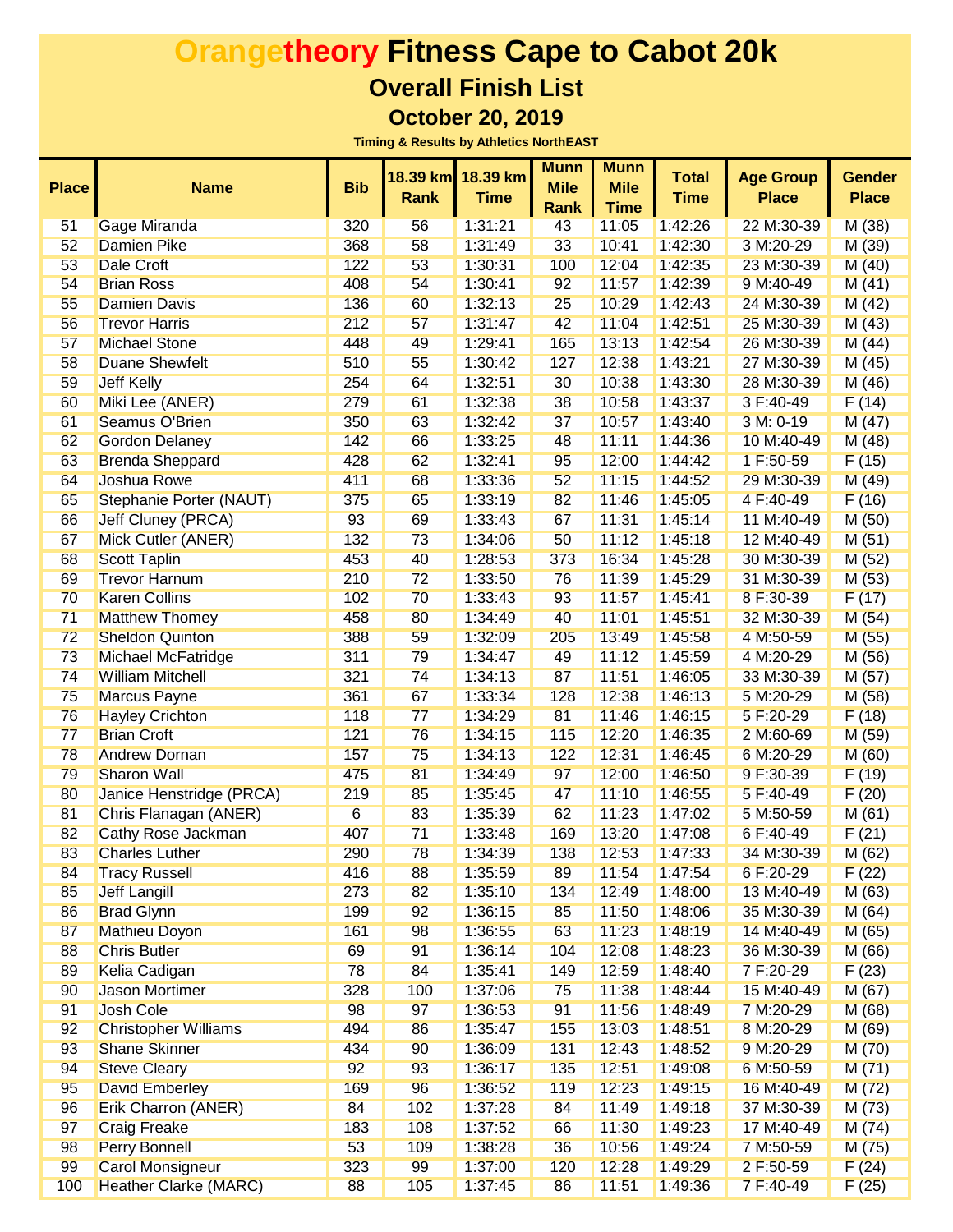|              |                              |                 |             | 18.39 km 18.39 km | <b>Munn</b> | <b>Munn</b> | <b>Total</b> | <b>Age Group</b> | <b>Gender</b> |
|--------------|------------------------------|-----------------|-------------|-------------------|-------------|-------------|--------------|------------------|---------------|
| <b>Place</b> | <b>Name</b>                  | <b>Bib</b>      | <b>Rank</b> | <b>Time</b>       | <b>Mile</b> | <b>Mile</b> | <b>Time</b>  | <b>Place</b>     | <b>Place</b>  |
|              |                              |                 |             |                   | <b>Rank</b> | <b>Time</b> |              |                  |               |
| 51           | <b>Gage Miranda</b>          | 320             | 56          | 1:31:21           | 43          | 11:05       | 1:42:26      | 22 M:30-39       | M(38)         |
| 52           | <b>Damien Pike</b>           | 368             | 58          | 1:31:49           | 33          | 10:41       | 1:42:30      | 3 M:20-29        | M (39)        |
| 53           | <b>Dale Croft</b>            | 122             | 53          | 1:30:31           | 100         | 12:04       | 1:42:35      | 23 M:30-39       | M(40)         |
| 54           | <b>Brian Ross</b>            | 408             | 54          | 1:30:41           | 92          | 11:57       | 1:42:39      | 9 M:40-49        | M(41)         |
| 55           | <b>Damien Davis</b>          | 136             | 60          | 1:32:13           | 25          | 10:29       | 1:42:43      | 24 M:30-39       | M(42)         |
| 56           | <b>Trevor Harris</b>         | 212             | 57          | 1:31:47           | 42          | 11:04       | 1:42:51      | 25 M:30-39       | M(43)         |
| 57           | <b>Michael Stone</b>         | 448             | 49          | 1:29:41           | 165         | 13:13       | 1:42:54      | 26 M:30-39       | M(44)         |
| 58           | <b>Duane Shewfelt</b>        | 510             | 55          | 1:30:42           | 127         | 12:38       | 1:43:21      | 27 M:30-39       | M(45)         |
| 59           | <b>Jeff Kelly</b>            | 254             | 64          | 1:32:51           | 30          | 10:38       | 1:43:30      | 28 M:30-39       | M(46)         |
| 60           | Miki Lee (ANER)              | 279             | 61          | 1:32:38           | 38          | 10:58       | 1:43:37      | 3 F:40-49        | F(14)         |
| 61           | Seamus O'Brien               | 350             | 63          | 1:32:42           | 37          | 10:57       | 1:43:40      | 3 M: 0-19        | M(47)         |
| 62           | <b>Gordon Delaney</b>        | 142             | 66          | 1:33:25           | 48          | 11:11       | 1:44:36      | 10 M:40-49       | M(48)         |
| 63           | <b>Brenda Sheppard</b>       | 428             | 62          | 1:32:41           | 95          | 12:00       | 1:44:42      | 1 F:50-59        | F(15)         |
| 64           | <b>Joshua Rowe</b>           | 411             | 68          | 1:33:36           | 52          | 11:15       | 1:44:52      | 29 M:30-39       | M(49)         |
| 65           | Stephanie Porter (NAUT)      | 375             | 65          | 1:33:19           | 82          | 11:46       | 1:45:05      | 4 F:40-49        | F(16)         |
| 66           | <b>Jeff Cluney (PRCA)</b>    | 93              | 69          | 1:33:43           | 67          | 11:31       | 1:45:14      | 11 M:40-49       | M(50)         |
| 67           | Mick Cutler (ANER)           | 132             | 73          | 1:34:06           | 50          | 11:12       | 1:45:18      | 12 M:40-49       | M(51)         |
| 68           | <b>Scott Taplin</b>          | 453             | 40          | 1:28:53           | 373         | 16:34       | 1:45:28      | 30 M:30-39       | M(52)         |
| 69           | <b>Trevor Harnum</b>         | 210             | 72          | 1:33:50           | 76          | 11:39       | 1:45:29      | 31 M:30-39       | M(53)         |
| 70           | <b>Karen Collins</b>         | 102             | 70          | 1:33:43           | 93          | 11:57       | 1:45:41      | 8 F:30-39        | F(17)         |
| 71           | <b>Matthew Thomey</b>        | 458             | 80          | 1:34:49           | 40          | 11:01       | 1:45:51      | 32 M:30-39       | M(54)         |
| 72           | <b>Sheldon Quinton</b>       | 388             | 59          | 1:32:09           | 205         | 13:49       | 1:45:58      | 4 M:50-59        | M(55)         |
| 73           | Michael McFatridge           | 311             | 79          | 1:34:47           | 49          | 11:12       | 1:45:59      | 4 M:20-29        | M(56)         |
| 74           | <b>William Mitchell</b>      | 321             | 74          | 1:34:13           | 87          | 11:51       | 1:46:05      | 33 M:30-39       | M(57)         |
| 75           | <b>Marcus Payne</b>          | 361             | 67          | 1:33:34           | 128         | 12:38       | 1:46:13      | 5 M:20-29        | M(58)         |
| 76           | <b>Hayley Crichton</b>       | 118             | 77          | 1:34:29           | 81          | 11:46       | 1:46:15      | 5 F:20-29        | F(18)         |
| 77           | <b>Brian Croft</b>           | 121             | 76          | 1:34:15           | 115         | 12:20       | 1:46:35      | 2 M:60-69        | M(59)         |
| 78           | <b>Andrew Dornan</b>         | 157             | 75          | 1:34:13           | 122         | 12:31       | 1:46:45      | 6 M:20-29        | M(60)         |
| 79           | <b>Sharon Wall</b>           | 475             | 81          | 1:34:49           | 97          | 12:00       | 1:46:50      | 9 F:30-39        | F(19)         |
| 80           | Janice Henstridge (PRCA)     | 219             | 85          | 1:35:45           | 47          | 11:10       | 1:46:55      | 5 F:40-49        | F(20)         |
| 81           | Chris Flanagan (ANER)        | $6\overline{6}$ | 83          | 1:35:39           | 62          | 11:23       | 1:47:02      | 5 M:50-59        | M(61)         |
| 82           | <b>Cathy Rose Jackman</b>    | 407             | 71          | 1:33:48           | 169         | 13:20       | 1:47:08      | 6 F:40-49        | F(21)         |
| 83           | <b>Charles Luther</b>        | 290             | 78          | 1:34:39           | 138         | 12:53       | 1:47:33      | 34 M:30-39       | M(62)         |
| 84           | <b>Tracy Russell</b>         | 416             | 88          | 1:35:59           | 89          | 11:54       | 1:47:54      | 6 F:20-29        | F(22)         |
| 85           | <b>Jeff Langill</b>          | 273             | 82          | 1:35:10           | 134         | 12:49       | 1:48:00      | 13 M:40-49       | M(63)         |
| 86           | <b>Brad Glynn</b>            | 199             | 92          | 1:36:15           | 85          | 11:50       | 1:48:06      | 35 M:30-39       | M(64)         |
| 87           | <b>Mathieu Doyon</b>         | 161             | 98          | 1:36:55           | 63          | 11:23       | 1:48:19      | 14 M:40-49       | M(65)         |
| 88           | <b>Chris Butler</b>          | 69              | 91          | 1:36:14           | 104         | 12:08       | 1:48:23      | 36 M:30-39       | M(66)         |
| 89           | Kelia Cadigan                | 78              | 84          | 1:35:41           | 149         | 12:59       | 1:48:40      | 7 F:20-29        | F(23)         |
| 90           | <b>Jason Mortimer</b>        | 328             | 100         | 1:37:06           | 75          | 11:38       | 1:48:44      | 15 M:40-49       | M(67)         |
| 91           | <b>Josh Cole</b>             | 98              | 97          | 1:36:53           | 91          | 11:56       | 1:48:49      | 7 M:20-29        | M(68)         |
| 92           | <b>Christopher Williams</b>  | 494             | 86          | 1:35:47           | 155         | 13:03       | 1:48:51      | 8 M:20-29        | M(69)         |
| 93           | <b>Shane Skinner</b>         | 434             | 90          | 1:36:09           | 131         | 12:43       | 1:48:52      | 9 M:20-29        | M(70)         |
| 94           | <b>Steve Cleary</b>          | 92              | 93          | 1:36:17           | 135         | 12:51       | 1:49:08      | 6 M:50-59        | M(71)         |
| 95           | David Emberley               | 169             | 96          | 1:36:52           | 119         | 12:23       | 1:49:15      | 16 M:40-49       | M(72)         |
| 96           | <b>Erik Charron (ANER)</b>   | 84              | 102         | 1:37:28           | 84          | 11:49       | 1:49:18      | 37 M:30-39       | M(73)         |
| 97           | <b>Craig Freake</b>          | 183             | 108         | 1:37:52           | 66          | 11:30       | 1:49:23      | 17 M:40-49       | M(74)         |
| 98           | <b>Perry Bonnell</b>         | 53              | 109         | 1:38:28           | 36          | 10:56       | 1:49:24      | 7 M:50-59        | M(75)         |
| 99           | <b>Carol Monsigneur</b>      | 323             | 99          | 1:37:00           | 120         | 12:28       | 1:49:29      | 2 F:50-59        | F(24)         |
| 100          | <b>Heather Clarke (MARC)</b> | 88              | 105         | 1:37:45           | 86          | 11:51       | 1:49:36      | 7 F:40-49        | F(25)         |
|              |                              |                 |             |                   |             |             |              |                  |               |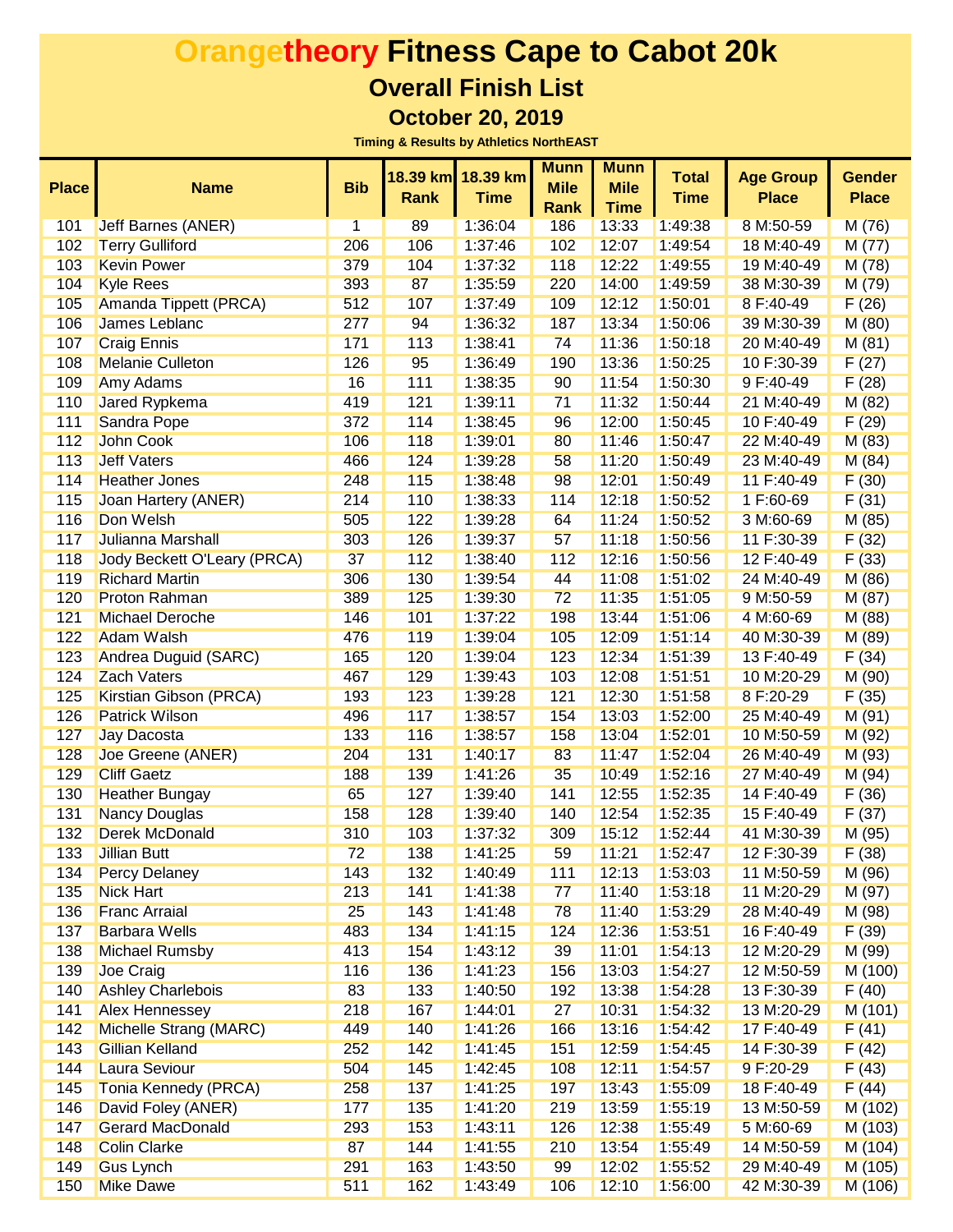| <b>Place</b> | <b>Name</b>                        | <b>Bib</b> | 18.39 km<br><b>Rank</b> | 18.39 km<br><b>Time</b> | <b>Munn</b><br><b>Mile</b> | <b>Munn</b><br><b>Mile</b> | <b>Total</b><br><b>Time</b> | <b>Age Group</b><br><b>Place</b> | <b>Gender</b><br><b>Place</b> |
|--------------|------------------------------------|------------|-------------------------|-------------------------|----------------------------|----------------------------|-----------------------------|----------------------------------|-------------------------------|
|              |                                    |            |                         |                         | <b>Rank</b>                | <b>Time</b>                |                             |                                  |                               |
| 101          | <b>Jeff Barnes (ANER)</b>          | 1          | 89                      | 1:36:04                 | 186                        | 13:33                      | 1:49:38                     | 8 M:50-59                        | M(76)                         |
| 102          | <b>Terry Gulliford</b>             | 206        | 106                     | 1:37:46                 | 102                        | 12:07                      | 1:49:54                     | 18 M:40-49                       | M(77)                         |
| 103          | <b>Kevin Power</b>                 | 379        | 104                     | 1:37:32                 | 118                        | 12:22                      | 1:49:55                     | 19 M:40-49                       | M(78)                         |
| 104          | <b>Kyle Rees</b>                   | 393        | 87                      | 1:35:59                 | 220                        | 14:00                      | 1:49:59                     | 38 M:30-39                       | M(79)                         |
| 105          | Amanda Tippett (PRCA)              | 512        | 107                     | 1:37:49                 | 109                        | 12:12                      | 1:50:01                     | 8 F:40-49                        | F(26)                         |
| 106          | James Leblanc                      | 277        | 94                      | 1:36:32                 | 187                        | 13:34                      | 1:50:06                     | 39 M:30-39                       | M(80)                         |
| 107          | <b>Craig Ennis</b>                 | 171        | 113                     | 1:38:41                 | 74                         | 11:36                      | 1:50:18                     | 20 M:40-49                       | M(81)                         |
| 108          | <b>Melanie Culleton</b>            | 126        | 95                      | 1:36:49                 | 190                        | 13:36                      | 1:50:25                     | 10 F:30-39                       | F(27)                         |
| 109          | <b>Amy Adams</b>                   | 16         | 111                     | 1:38:35                 | 90                         | 11:54                      | 1:50:30                     | 9 F:40-49                        | F(28)                         |
| 110          | <b>Jared Rypkema</b>               | 419        | 121                     | 1:39:11                 | 71                         | 11:32                      | 1:50:44                     | 21 M:40-49                       | M(82)                         |
| 111          | Sandra Pope                        | 372        | 114                     | 1:38:45                 | 96                         | 12:00                      | 1:50:45                     | 10 F:40-49                       | F(29)                         |
| 112          | <b>John Cook</b>                   | 106        | 118                     | 1:39:01                 | 80                         | 11:46                      | 1:50:47                     | 22 M:40-49                       | M(83)                         |
| 113          | <b>Jeff Vaters</b>                 | 466        | 124                     | 1:39:28                 | 58                         | 11:20                      | 1:50:49                     | 23 M:40-49                       | M(84)                         |
| 114          | <b>Heather Jones</b>               | 248        | 115                     | 1:38:48                 | 98                         | 12:01                      | 1:50:49                     | 11 F:40-49                       | F(30)                         |
| 115          | <b>Joan Hartery (ANER)</b>         | 214        | 110                     | 1:38:33                 | 114                        | 12:18                      | 1:50:52                     | 1 F:60-69                        | F(31)                         |
| 116          | Don Welsh                          | 505        | 122                     | 1:39:28                 | 64                         | 11:24                      | 1:50:52                     | 3 M:60-69                        | M(85)                         |
| 117          | Julianna Marshall                  | 303        | 126                     | 1:39:37                 | 57                         | 11:18                      | 1:50:56                     | 11 F:30-39                       | F(32)                         |
| 118          | <b>Jody Beckett O'Leary (PRCA)</b> | 37         | 112                     | 1:38:40                 | 112                        | 12:16                      | 1:50:56                     | 12 F:40-49                       | F(33)                         |
| 119          | <b>Richard Martin</b>              | 306        | 130                     | 1:39:54                 | 44                         | 11:08                      | 1:51:02                     | 24 M:40-49                       | M(86)                         |
| 120          | <b>Proton Rahman</b>               | 389        | 125                     | 1:39:30                 | 72                         | 11:35                      | 1:51:05                     | 9 M:50-59                        | M(87)                         |
| 121          | <b>Michael Deroche</b>             | 146        | 101                     | 1:37:22                 | 198                        | 13:44                      | 1:51:06                     | 4 M:60-69                        | M(88)                         |
| 122          | <b>Adam Walsh</b>                  | 476        | 119                     | 1:39:04                 | 105                        | 12:09                      | 1:51:14                     | 40 M:30-39                       | M (89)                        |
| 123          | Andrea Duguid (SARC)               | 165        | 120                     | 1:39:04                 | 123                        | 12:34                      | 1:51:39                     | 13 F:40-49                       | F(34)                         |
| 124          | <b>Zach Vaters</b>                 | 467        | 129                     | 1:39:43                 | 103                        | 12:08                      | 1:51:51                     | 10 M:20-29                       | M (90)                        |
| 125          | Kirstian Gibson (PRCA)             | 193        | 123                     | 1:39:28                 | 121                        | 12:30                      | 1:51:58                     | 8 F:20-29                        | F(35)                         |
| 126          | <b>Patrick Wilson</b>              | 496        | 117                     | 1:38:57                 | 154                        | 13:03                      | 1:52:00                     | 25 M:40-49                       | M(91)                         |
| 127          | <b>Jay Dacosta</b>                 | 133        | 116                     | 1:38:57                 | 158                        | 13:04                      | 1:52:01                     | 10 M:50-59                       | M(92)                         |
| 128          | Joe Greene (ANER)                  | 204        | 131                     | 1:40:17                 | 83                         | 11:47                      | 1:52:04                     | 26 M:40-49                       | M (93)                        |
| 129          | <b>Cliff Gaetz</b>                 | 188        | 139                     | 1:41:26                 | 35                         | 10:49                      | 1:52:16                     | 27 M:40-49                       | M(94)                         |
| 130          | <b>Heather Bungay</b>              | 65         | 127                     | 1:39:40                 | 141                        | 12:55                      | 1:52:35                     | 14 F:40-49                       | F(36)                         |
| 131          | <b>Nancy Douglas</b>               | 158        | 128                     | 1:39:40                 | 140                        | 12:54                      | 1:52:35                     | 15 F:40-49                       | F(37)                         |
| 132          | <b>Derek McDonald</b>              | 310        | 103                     | 1:37:32                 | 309                        | 15:12                      | 1:52:44                     | 41 M:30-39                       | M (95)                        |
| 133          | <b>Jillian Butt</b>                | 72         | 138                     | 1:41:25                 | 59                         | 11:21                      | 1:52:47                     | 12 F:30-39                       | F(38)                         |
| 134          | <b>Percy Delaney</b>               | 143        | 132                     | 1:40:49                 | 111                        | 12:13                      | 1:53:03                     | 11 M:50-59                       | M (96)                        |
| 135          | <b>Nick Hart</b>                   | 213        | 141                     | 1:41:38                 | 77                         | 11:40                      | 1:53:18                     | 11 M:20-29                       | M (97)                        |
| 136          | <b>Franc Arraial</b>               | 25         | 143                     | 1:41:48                 | 78                         | 11:40                      | 1:53:29                     | 28 M:40-49                       | M (98)                        |
| 137          | <b>Barbara Wells</b>               | 483        | 134                     | 1:41:15                 | 124                        | 12:36                      | 1:53:51                     | 16 F:40-49                       | F(39)                         |
| 138          | <b>Michael Rumsby</b>              | 413        | 154                     | 1:43:12                 | 39                         | 11:01                      | 1:54:13                     | 12 M:20-29                       | M (99)                        |
| 139          | <b>Joe Craig</b>                   | 116        | 136                     | 1:41:23                 | 156                        | 13:03                      | 1:54:27                     | 12 M:50-59                       | M (100)                       |
| 140          | <b>Ashley Charlebois</b>           | 83         | 133                     | 1:40:50                 | 192                        | 13:38                      | 1:54:28                     | 13 F:30-39                       | F(40)                         |
| 141          | <b>Alex Hennessey</b>              | 218        | 167                     | 1:44:01                 | 27                         | 10:31                      | 1:54:32                     | 13 M:20-29                       | M (101)                       |
| 142          | Michelle Strang (MARC)             | 449        | 140                     | 1:41:26                 | 166                        | 13:16                      | 1:54:42                     | 17 F:40-49                       | F(41)                         |
| 143          | <b>Gillian Kelland</b>             | 252        | 142                     | 1:41:45                 | 151                        | 12:59                      | 1:54:45                     | 14 F:30-39                       | F(42)                         |
| 144          | <b>Laura Seviour</b>               | 504        | 145                     | 1:42:45                 | 108                        | 12:11                      | 1:54:57                     | 9 F:20-29                        | F(43)                         |
| 145          | <b>Tonia Kennedy (PRCA)</b>        | 258        | 137                     | 1:41:25                 | 197                        | 13:43                      | 1:55:09                     | 18 F:40-49                       | F(44)                         |
| 146          | David Foley (ANER)                 | 177        | 135                     | 1:41:20                 | 219                        | 13:59                      | 1:55:19                     | 13 M:50-59                       | M (102)                       |
| 147          | <b>Gerard MacDonald</b>            | 293        | 153                     | 1:43:11                 | 126                        | 12:38                      | 1:55:49                     | 5 M:60-69                        | M (103)                       |
| 148          | <b>Colin Clarke</b>                | 87         | 144                     | 1:41:55                 | 210                        | 13:54                      | 1:55:49                     | 14 M:50-59                       | M (104)                       |
| 149          | <b>Gus Lynch</b>                   | 291        | 163                     | 1:43:50                 | 99                         | 12:02                      | 1:55:52                     | 29 M:40-49                       | M (105)                       |
| 150          | <b>Mike Dawe</b>                   | 511        | 162                     | 1:43:49                 | 106                        | 12:10                      | 1:56:00                     | 42 M:30-39                       | M (106)                       |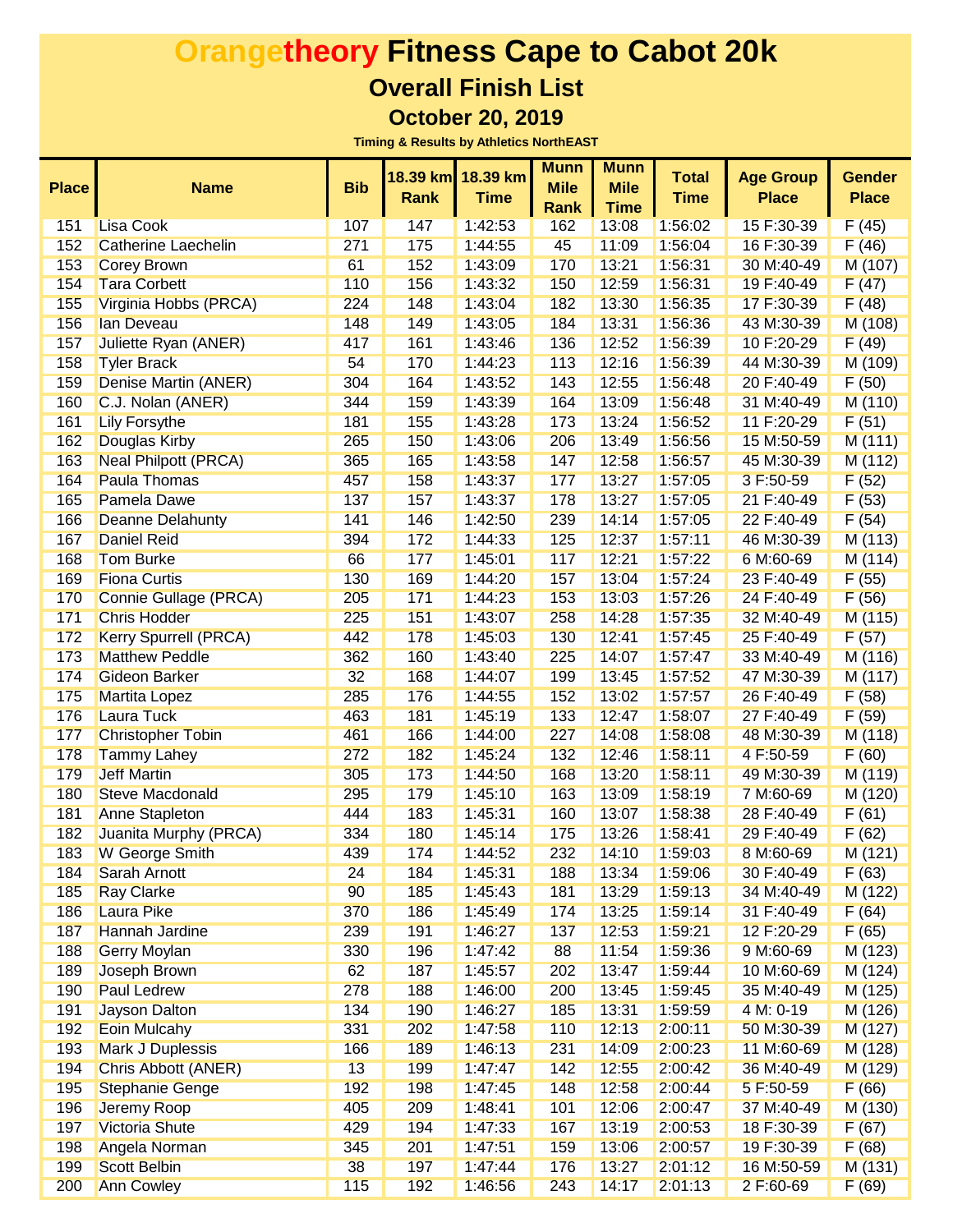|              |                              |            | 18.39 km    | 18.39 km    | <b>Munn</b> | <b>Munn</b> | <b>Total</b> | <b>Age Group</b> | <b>Gender</b> |
|--------------|------------------------------|------------|-------------|-------------|-------------|-------------|--------------|------------------|---------------|
| <b>Place</b> | <b>Name</b>                  | <b>Bib</b> | <b>Rank</b> | <b>Time</b> | <b>Mile</b> | <b>Mile</b> | <b>Time</b>  | <b>Place</b>     | <b>Place</b>  |
|              |                              |            |             |             | <b>Rank</b> | <b>Time</b> |              |                  |               |
| 151          | <b>Lisa Cook</b>             | 107        | 147         | 1:42:53     | 162         | 13:08       | 1:56:02      | 15 F:30-39       | F(45)         |
| 152          | <b>Catherine Laechelin</b>   | 271        | 175         | 1:44:55     | 45          | 11:09       | 1:56:04      | 16 F:30-39       | F(46)         |
| 153          | <b>Corey Brown</b>           | 61         | 152         | 1:43:09     | 170         | 13:21       | 1:56:31      | 30 M:40-49       | M (107)       |
| 154          | <b>Tara Corbett</b>          | 110        | 156         | 1:43:32     | 150         | 12:59       | 1:56:31      | 19 F:40-49       | F(47)         |
| 155          | Virginia Hobbs (PRCA)        | 224        | 148         | 1:43:04     | 182         | 13:30       | 1:56:35      | 17 F:30-39       | F(48)         |
| 156          | lan Deveau                   | 148        | 149         | 1:43:05     | 184         | 13:31       | 1:56:36      | 43 M:30-39       | M (108)       |
| 157          | Juliette Ryan (ANER)         | 417        | 161         | 1:43:46     | 136         | 12:52       | 1:56:39      | 10 F:20-29       | F(49)         |
| 158          | <b>Tyler Brack</b>           | 54         | 170         | 1:44:23     | 113         | 12:16       | 1:56:39      | 44 M:30-39       | M (109)       |
| 159          | Denise Martin (ANER)         | 304        | 164         | 1:43:52     | 143         | 12:55       | 1:56:48      | 20 F:40-49       | F(50)         |
| 160          | C.J. Nolan (ANER)            | 344        | 159         | 1:43:39     | 164         | 13:09       | 1:56:48      | 31 M:40-49       | M (110)       |
| 161          | <b>Lily Forsythe</b>         | 181        | 155         | 1:43:28     | 173         | 13:24       | 1:56:52      | 11 F:20-29       | F(51)         |
| 162          | <b>Douglas Kirby</b>         | 265        | 150         | 1:43:06     | 206         | 13:49       | 1:56:56      | 15 M:50-59       | M(111)        |
| 163          | <b>Neal Philpott (PRCA)</b>  | 365        | 165         | 1:43:58     | 147         | 12:58       | 1:56:57      | 45 M:30-39       | M (112)       |
| 164          | <b>Paula Thomas</b>          | 457        | 158         | 1:43:37     | 177         | 13:27       | 1:57:05      | 3 F:50-59        | F(52)         |
| 165          | <b>Pamela Dawe</b>           | 137        | 157         | 1:43:37     | 178         | 13:27       | 1:57:05      | 21 F:40-49       | F(53)         |
| 166          | <b>Deanne Delahunty</b>      | 141        | 146         | 1:42:50     | 239         | 14:14       | 1:57:05      | 22 F:40-49       | F(54)         |
| 167          | <b>Daniel Reid</b>           | 394        | 172         | 1:44:33     | 125         | 12:37       | 1:57:11      | 46 M:30-39       | M (113)       |
| 168          | <b>Tom Burke</b>             | 66         | 177         | 1:45:01     | 117         | 12:21       | 1:57:22      | 6 M:60-69        | M (114)       |
| 169          | <b>Fiona Curtis</b>          | 130        | 169         | 1:44:20     | 157         | 13:04       | 1:57:24      | 23 F:40-49       | F(55)         |
| 170          | <b>Connie Gullage (PRCA)</b> | 205        | 171         | 1:44:23     | 153         | 13:03       | 1:57:26      | 24 F:40-49       | F(56)         |
| 171          | <b>Chris Hodder</b>          | 225        | 151         | 1:43:07     | 258         | 14:28       | 1:57:35      | 32 M:40-49       | M (115)       |
| 172          | <b>Kerry Spurrell (PRCA)</b> | 442        | 178         | 1:45:03     | 130         | 12:41       | 1:57:45      | 25 F:40-49       | F(57)         |
| 173          | <b>Matthew Peddle</b>        | 362        | 160         | 1:43:40     | 225         | 14:07       | 1:57:47      | 33 M:40-49       | M (116)       |
| 174          | <b>Gideon Barker</b>         | 32         | 168         | 1:44:07     | 199         | 13:45       | 1:57:52      | 47 M:30-39       | M (117)       |
| 175          | <b>Martita Lopez</b>         | 285        | 176         | 1:44:55     | 152         | 13:02       | 1:57:57      | 26 F:40-49       | F(58)         |
| 176          | <b>Laura Tuck</b>            | 463        | 181         | 1:45:19     | 133         | 12:47       | 1:58:07      | 27 F:40-49       | F(59)         |
| 177          | <b>Christopher Tobin</b>     | 461        | 166         | 1:44:00     | 227         | 14:08       | 1:58:08      | 48 M:30-39       | M (118)       |
| 178          | <b>Tammy Lahey</b>           | 272        | 182         | 1:45:24     | 132         | 12:46       | 1:58:11      | 4 F:50-59        | F(60)         |
| 179          | <b>Jeff Martin</b>           | 305        | 173         | 1:44:50     | 168         | 13:20       | 1:58:11      | 49 M:30-39       | M (119)       |
| 180          | <b>Steve Macdonald</b>       | 295        | 179         | 1:45:10     | 163         | 13:09       | 1:58:19      | 7 M:60-69        | M (120)       |
| 181          | Anne Stapleton               | 444        | 183         | 1:45:31     | 160         | 13:07       | 1:58:38      | 28 F:40-49       | F(61)         |
| 182          | Juanita Murphy (PRCA)        | 334        | 180         | 1:45:14     | 175         | 13:26       | 1:58:41      | 29 F:40-49       | F(62)         |
| 183          | <b>W</b> George Smith        | 439        | 174         | 1:44:52     | 232         | 14:10       | 1:59:03      | 8 M:60-69        | M (121)       |
| 184          | <b>Sarah Arnott</b>          | 24         | 184         | 1:45:31     | 188         | 13:34       | 1:59:06      | 30 F:40-49       | F(63)         |
| 185          | <b>Ray Clarke</b>            | 90         | 185         | 1:45:43     | 181         | 13:29       | 1:59:13      | 34 M:40-49       | M (122)       |
| 186          | Laura Pike                   | 370        | 186         | 1:45:49     | 174         | 13:25       | 1:59:14      | 31 F:40-49       | F(64)         |
| 187          | Hannah Jardine               | 239        | 191         | 1:46:27     | 137         | 12:53       | 1:59:21      | 12 F:20-29       | F(65)         |
| 188          | <b>Gerry Moylan</b>          | 330        | 196         | 1:47:42     | 88          | 11:54       | 1:59:36      | 9 M:60-69        | M (123)       |
| 189          | Joseph Brown                 | 62         | 187         | 1:45:57     | 202         | 13:47       | 1:59:44      | 10 M:60-69       | M (124)       |
| 190          | <b>Paul Ledrew</b>           | 278        | 188         | 1:46:00     | 200         | 13:45       | 1:59:45      | 35 M:40-49       | M (125)       |
| 191          | <b>Jayson Dalton</b>         | 134        | 190         | 1:46:27     | 185         | 13:31       | 1:59:59      | 4 M: 0-19        | M (126)       |
| 192          | <b>Eoin Mulcahy</b>          | 331        | 202         | 1:47:58     | 110         | 12:13       | 2:00:11      | 50 M:30-39       | M (127)       |
| 193          | <b>Mark J Duplessis</b>      | 166        | 189         | 1:46:13     | 231         | 14:09       | 2:00:23      | 11 M:60-69       | M (128)       |
| 194          | <b>Chris Abbott (ANER)</b>   | 13         | 199         | 1:47:47     | 142         | 12:55       | 2:00:42      | 36 M:40-49       | M (129)       |
| 195          | <b>Stephanie Genge</b>       | 192        | 198         | 1:47:45     | 148         | 12:58       | 2:00:44      | 5 F:50-59        | F(66)         |
| 196          | Jeremy Roop                  | 405        | 209         | 1:48:41     | 101         | 12:06       | 2:00:47      | 37 M:40-49       | M (130)       |
| 197          | <b>Victoria Shute</b>        | 429        | 194         | 1:47:33     | 167         | 13:19       | 2:00:53      | 18 F:30-39       | F(67)         |
| 198          | Angela Norman                | 345        | 201         | 1:47:51     | 159         | 13:06       | 2:00:57      | 19 F:30-39       | F(68)         |
| 199          | <b>Scott Belbin</b>          | 38         | 197         | 1:47:44     | 176         | 13:27       | 2:01:12      | 16 M:50-59       | M(131)        |
| 200          | <b>Ann Cowley</b>            | 115        | 192         | 1:46:56     | 243         | 14:17       | 2:01:13      | 2 F:60-69        | F(69)         |
|              |                              |            |             |             |             |             |              |                  |               |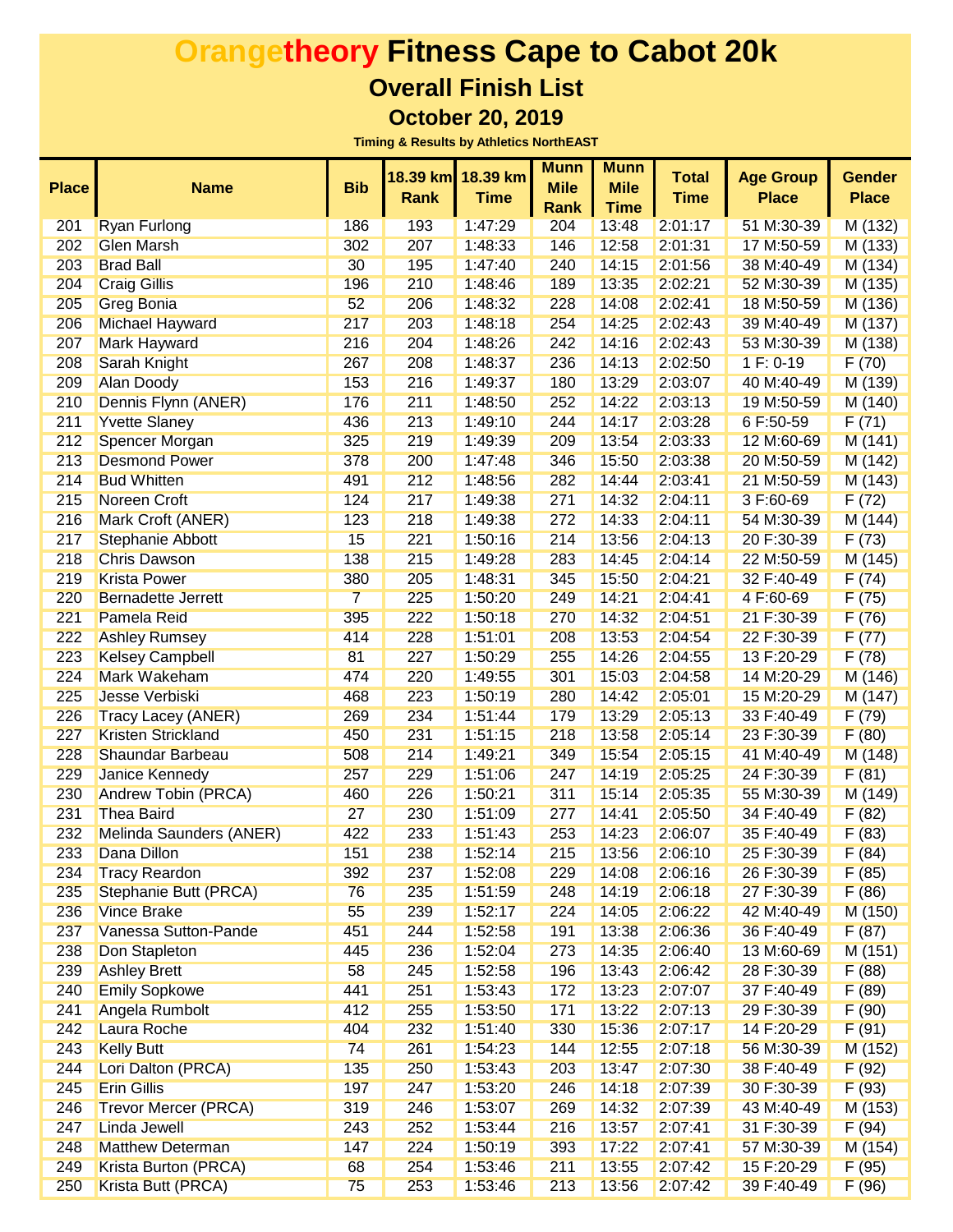| <b>Place</b> | <b>Name</b>                 | <b>Bib</b>     | 18.39 km<br><b>Rank</b> | 18.39 km<br><b>Time</b> | <b>Munn</b><br><b>Mile</b><br><b>Rank</b> | <b>Munn</b><br><b>Mile</b><br><b>Time</b> | <b>Total</b><br><b>Time</b> | <b>Age Group</b><br><b>Place</b> | <b>Gender</b><br><b>Place</b> |
|--------------|-----------------------------|----------------|-------------------------|-------------------------|-------------------------------------------|-------------------------------------------|-----------------------------|----------------------------------|-------------------------------|
| 201          | <b>Ryan Furlong</b>         | 186            | 193                     | 1:47:29                 | 204                                       | 13:48                                     | 2:01:17                     | 51 M:30-39                       | M (132)                       |
| 202          | <b>Glen Marsh</b>           | 302            | 207                     | 1:48:33                 | 146                                       | 12:58                                     | 2:01:31                     | 17 M:50-59                       | M (133)                       |
| 203          | <b>Brad Ball</b>            | 30             | 195                     | 1:47:40                 | 240                                       | 14:15                                     | 2:01:56                     | 38 M:40-49                       | M (134)                       |
| 204          | <b>Craig Gillis</b>         | 196            | 210                     | 1:48:46                 | 189                                       | 13:35                                     | 2:02:21                     | 52 M:30-39                       | M (135)                       |
| 205          | <b>Greg Bonia</b>           | 52             | 206                     | 1:48:32                 | 228                                       | 14:08                                     | 2:02:41                     | 18 M:50-59                       | M (136)                       |
| 206          | <b>Michael Hayward</b>      | 217            | 203                     | 1:48:18                 | 254                                       | 14:25                                     | 2:02:43                     | 39 M:40-49                       | M (137)                       |
| 207          | <b>Mark Hayward</b>         | 216            | 204                     | 1:48:26                 | 242                                       | 14:16                                     | 2:02:43                     | 53 M:30-39                       | M (138)                       |
| 208          | Sarah Knight                | 267            | 208                     | 1:48:37                 | 236                                       | 14:13                                     | 2:02:50                     | $1 F: 0-19$                      | F(70)                         |
| 209          | <b>Alan Doody</b>           | 153            | 216                     | 1:49:37                 | 180                                       | 13:29                                     | 2:03:07                     | 40 M:40-49                       | M (139)                       |
| 210          | Dennis Flynn (ANER)         | 176            | 211                     | 1:48:50                 | 252                                       | 14:22                                     | 2:03:13                     | 19 M:50-59                       | M (140)                       |
| 211          | <b>Yvette Slaney</b>        | 436            | 213                     | 1:49:10                 | 244                                       | 14:17                                     | 2:03:28                     | 6 F:50-59                        | F(71)                         |
| 212          | Spencer Morgan              | 325            | 219                     | 1:49:39                 | 209                                       | 13:54                                     | 2:03:33                     | 12 M:60-69                       | M(141)                        |
| 213          | <b>Desmond Power</b>        | 378            | 200                     | 1:47:48                 | 346                                       | 15:50                                     | 2:03:38                     | 20 M:50-59                       | M (142)                       |
| 214          | <b>Bud Whitten</b>          | 491            | 212                     | 1:48:56                 | 282                                       | 14:44                                     | 2:03:41                     | 21 M:50-59                       | M (143)                       |
| 215          | Noreen Croft                | 124            | 217                     | 1:49:38                 | 271                                       | 14:32                                     | 2:04:11                     | 3 F:60-69                        | F(72)                         |
| 216          | Mark Croft (ANER)           | 123            | 218                     | 1:49:38                 | 272                                       | 14:33                                     | 2:04:11                     | 54 M:30-39                       | M(144)                        |
| 217          | Stephanie Abbott            | 15             | 221                     | 1:50:16                 | 214                                       | 13:56                                     | 2:04:13                     | 20 F:30-39                       | F(73)                         |
| 218          | <b>Chris Dawson</b>         | 138            | 215                     | 1:49:28                 | 283                                       | 14:45                                     | 2:04:14                     | 22 M:50-59                       | M (145)                       |
| 219          | <b>Krista Power</b>         | 380            | 205                     | 1:48:31                 | 345                                       | 15:50                                     | 2:04:21                     | 32 F:40-49                       | F(74)                         |
| 220          | <b>Bernadette Jerrett</b>   | $\overline{7}$ | 225                     | 1:50:20                 | 249                                       | 14:21                                     | 2:04:41                     | 4 F:60-69                        | F(75)                         |
| 221          | Pamela Reid                 | 395            | 222                     | 1:50:18                 | 270                                       | 14:32                                     | 2:04:51                     | 21 F:30-39                       | F(76)                         |
| 222          | <b>Ashley Rumsey</b>        | 414            | 228                     | 1:51:01                 | 208                                       | 13:53                                     | 2:04:54                     | 22 F:30-39                       | F(77)                         |
| 223          | <b>Kelsey Campbell</b>      | 81             | 227                     | 1:50:29                 | 255                                       | 14:26                                     | 2:04:55                     | 13 F:20-29                       | F(78)                         |
| 224          | Mark Wakeham                | 474            | 220                     | 1:49:55                 | 301                                       | 15:03                                     | 2:04:58                     | 14 M:20-29                       | M (146)                       |
| 225          | Jesse Verbiski              | 468            | 223                     | 1:50:19                 | 280                                       | 14:42                                     | 2:05:01                     | 15 M:20-29                       | M (147)                       |
| 226          | Tracy Lacey (ANER)          | 269            | 234                     | 1:51:44                 | 179                                       | 13:29                                     | 2:05:13                     | 33 F:40-49                       | F(79)                         |
| 227          | <b>Kristen Strickland</b>   | 450            | 231                     | 1:51:15                 | 218                                       | 13:58                                     | 2:05:14                     | 23 F:30-39                       | F(80)                         |
| 228          | Shaundar Barbeau            | 508            | 214                     | 1:49:21                 | 349                                       | 15:54                                     | 2:05:15                     | 41 M:40-49                       | M (148)                       |
| 229          | Janice Kennedy              | 257            | 229                     | 1:51:06                 | 247                                       | 14:19                                     | 2:05:25                     | 24 F:30-39                       | F(81)                         |
| 230          | <b>Andrew Tobin (PRCA)</b>  | 460            | 226                     | 1:50:21                 | 311                                       | 15:14                                     | 2:05:35                     | 55 M:30-39                       | M (149)                       |
| 231          | <b>Thea Baird</b>           | 27             | 230                     | 1:51:09                 | 277                                       | 14:41                                     | 2:05:50                     | 34 F:40-49                       | F(82)                         |
| 232          | Melinda Saunders (ANER)     | 422            | 233                     | 1:51:43                 | 253                                       | 14:23                                     | 2:06:07                     | 35 F:40-49                       | F(83)                         |
| 233          | Dana Dillon                 | 151            | 238                     | 1:52:14                 | 215                                       | 13:56                                     | 2:06:10                     | 25 F:30-39                       | F(84)                         |
| 234          | <b>Tracy Reardon</b>        | 392            | 237                     | 1:52:08                 | 229                                       | 14:08                                     | 2:06:16                     | 26 F:30-39                       | F(85)                         |
| 235          | Stephanie Butt (PRCA)       | 76             | 235                     | 1:51:59                 | 248                                       | 14:19                                     | 2:06:18                     | 27 F:30-39                       | F(86)                         |
| 236          | <b>Vince Brake</b>          | 55             | 239                     | 1:52:17                 | 224                                       | 14:05                                     | 2:06:22                     | 42 M:40-49                       | M (150)                       |
| 237          | Vanessa Sutton-Pande        | 451            | 244                     | 1:52:58                 | 191                                       | 13:38                                     | 2:06:36                     | 36 F:40-49                       | F(87)                         |
| 238          | Don Stapleton               | 445            | 236                     | 1:52:04                 | 273                                       | 14:35                                     | 2:06:40                     | 13 M:60-69                       | M(151)                        |
| 239          | <b>Ashley Brett</b>         | 58             | 245                     | 1:52:58                 | 196                                       | 13:43                                     | 2:06:42                     | 28 F:30-39                       | F(88)                         |
| 240          | <b>Emily Sopkowe</b>        | 441            | 251                     | 1:53:43                 | 172                                       | 13:23                                     | 2:07:07                     | 37 F:40-49                       | F(89)                         |
| 241          | Angela Rumbolt              | 412            | 255                     | 1:53:50                 | 171                                       | 13:22                                     | 2:07:13                     | 29 F:30-39                       | F(90)                         |
| 242          | Laura Roche                 | 404            | 232                     | 1:51:40                 | 330                                       | 15:36                                     | 2:07:17                     | 14 F:20-29                       | F(91)                         |
| 243          | <b>Kelly Butt</b>           | 74             | 261                     | 1:54:23                 | 144                                       | 12:55                                     | 2:07:18                     | 56 M:30-39                       | M (152)                       |
| 244          | Lori Dalton (PRCA)          | 135            | 250                     | 1:53:43                 | 203                                       | 13:47                                     | 2:07:30                     | 38 F:40-49                       | F(92)                         |
| 245          | <b>Erin Gillis</b>          | 197            | 247                     | 1:53:20                 | 246                                       | 14:18                                     | 2:07:39                     | 30 F:30-39                       | F(93)                         |
| 246          | <b>Trevor Mercer (PRCA)</b> | 319            | 246                     | 1:53:07                 | 269                                       | 14:32                                     | 2:07:39                     | 43 M:40-49                       | M (153)                       |
| 247          | Linda Jewell                | 243            | 252                     | 1:53:44                 | 216                                       | 13:57                                     | 2:07:41                     | 31 F:30-39                       | F(94)                         |
| 248          | <b>Matthew Determan</b>     | 147            | 224                     | 1:50:19                 | 393                                       | 17:22                                     | 2:07:41                     | 57 M:30-39                       | M (154)                       |
| 249          | Krista Burton (PRCA)        | 68             | 254                     | 1:53:46                 | 211                                       | 13:55                                     | 2:07:42                     | 15 F:20-29                       | F(95)                         |
| 250          | Krista Butt (PRCA)          | 75             | 253                     | 1:53:46                 | 213                                       | 13:56                                     | 2:07:42                     | 39 F:40-49                       | F(96)                         |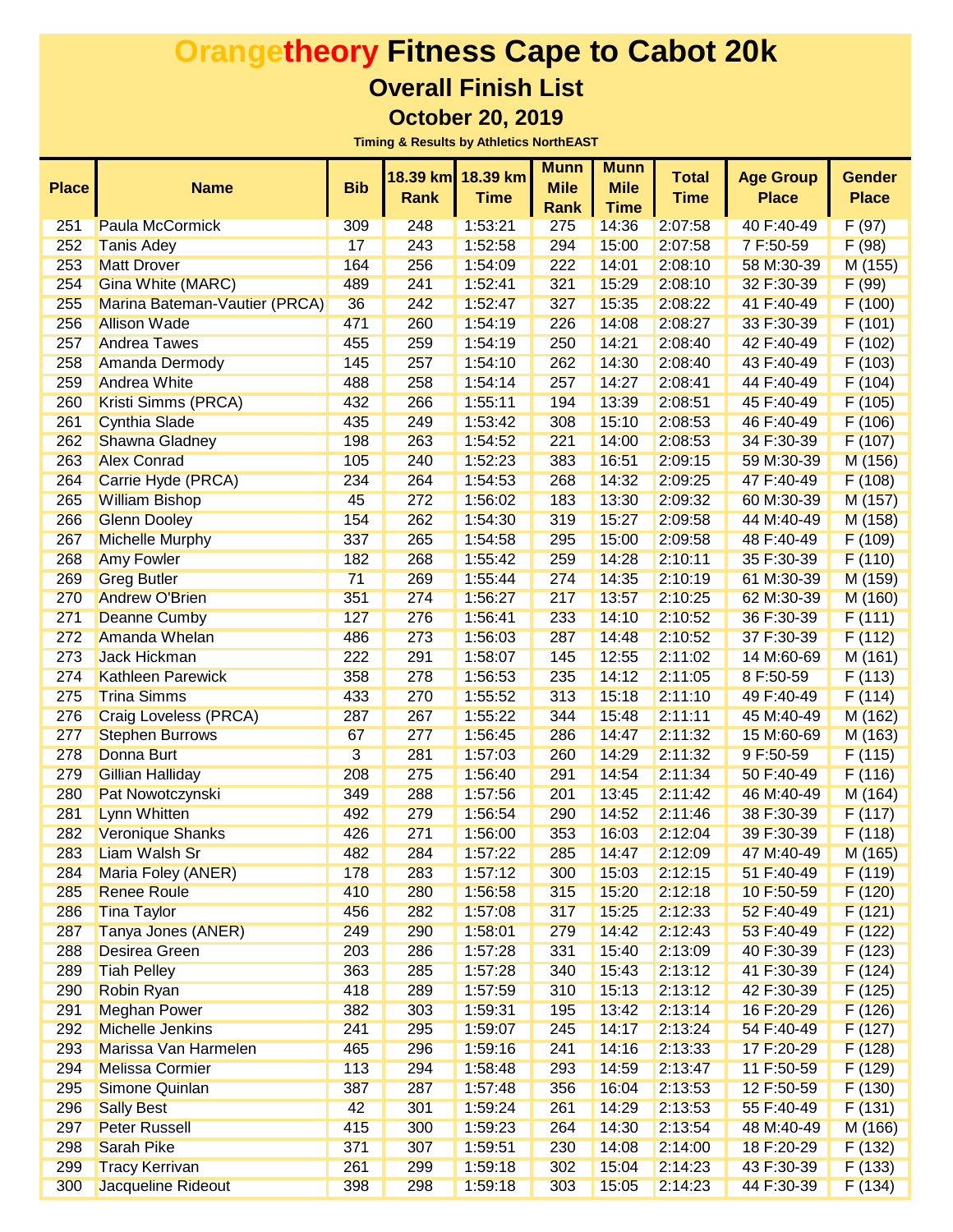|              |                               |            |             |             | <b>Munn</b> | <b>Munn</b> |              |                  |               |
|--------------|-------------------------------|------------|-------------|-------------|-------------|-------------|--------------|------------------|---------------|
| <b>Place</b> | <b>Name</b>                   | <b>Bib</b> | 18.39 km    | 18.39 km    | <b>Mile</b> | <b>Mile</b> | <b>Total</b> | <b>Age Group</b> | <b>Gender</b> |
|              |                               |            | <b>Rank</b> | <b>Time</b> | Rank        | <b>Time</b> | <b>Time</b>  | <b>Place</b>     | <b>Place</b>  |
| 251          | Paula McCormick               | 309        | 248         | 1:53:21     | 275         | 14:36       | 2:07:58      | 40 F:40-49       | F(97)         |
| 252          | <b>Tanis Adey</b>             | 17         | 243         | 1:52:58     | 294         | 15:00       | 2:07:58      | 7 F:50-59        | F(98)         |
| 253          | <b>Matt Drover</b>            | 164        | 256         | 1:54:09     | 222         | 14:01       | 2:08:10      | 58 M:30-39       | M (155)       |
| 254          | Gina White (MARC)             | 489        | 241         | 1:52:41     | 321         | 15:29       | 2:08:10      | 32 F:30-39       | F(99)         |
| 255          | Marina Bateman-Vautier (PRCA) | 36         | 242         | 1:52:47     | 327         | 15:35       | 2:08:22      | 41 F:40-49       | F(100)        |
| 256          | <b>Allison Wade</b>           | 471        | 260         | 1:54:19     | 226         | 14:08       | 2:08:27      | 33 F:30-39       | F(101)        |
| 257          | <b>Andrea Tawes</b>           | 455        | 259         | 1:54:19     | 250         | 14:21       | 2:08:40      | 42 F:40-49       | F(102)        |
| 258          | Amanda Dermody                | 145        | 257         | 1:54:10     | 262         | 14:30       | 2:08:40      | 43 F:40-49       | F(103)        |
| 259          | <b>Andrea White</b>           | 488        | 258         | 1:54:14     | 257         | 14:27       | 2:08:41      | 44 F:40-49       | F(104)        |
| 260          | Kristi Simms (PRCA)           | 432        | 266         | 1:55:11     | 194         | 13:39       | 2:08:51      | 45 F:40-49       | F(105)        |
| 261          | <b>Cynthia Slade</b>          | 435        | 249         | 1:53:42     | 308         | 15:10       | 2:08:53      | 46 F:40-49       | F(106)        |
| 262          | <b>Shawna Gladney</b>         | 198        | 263         | 1:54:52     | 221         | 14:00       | 2:08:53      | 34 F:30-39       | F(107)        |
| 263          | <b>Alex Conrad</b>            | 105        | 240         | 1:52:23     | 383         | 16:51       | 2:09:15      | 59 M:30-39       | M (156)       |
| 264          | Carrie Hyde (PRCA)            | 234        | 264         | 1:54:53     | 268         | 14:32       | 2:09:25      | 47 F:40-49       | F(108)        |
| 265          | <b>William Bishop</b>         | 45         | 272         | 1:56:02     | 183         | 13:30       | 2:09:32      | 60 M:30-39       | M (157)       |
| 266          | <b>Glenn Dooley</b>           | 154        | 262         | 1:54:30     | 319         | 15:27       | 2:09:58      | 44 M:40-49       | M (158)       |
| 267          | <b>Michelle Murphy</b>        | 337        | 265         | 1:54:58     | 295         | 15:00       | 2:09:58      | 48 F:40-49       | F(109)        |
| 268          | <b>Amy Fowler</b>             | 182        | 268         | 1:55:42     | 259         | 14:28       | 2:10:11      | 35 F:30-39       | F(110)        |
| 269          | <b>Greg Butler</b>            | 71         | 269         | 1:55:44     | 274         | 14:35       | 2:10:19      | 61 M:30-39       | M (159)       |
| 270          | <b>Andrew O'Brien</b>         | 351        | 274         | 1:56:27     | 217         | 13:57       | 2:10:25      | 62 M:30-39       | M (160)       |
| 271          | <b>Deanne Cumby</b>           | 127        | 276         | 1:56:41     | 233         | 14:10       | 2:10:52      | 36 F:30-39       | F(111)        |
| 272          | Amanda Whelan                 | 486        | 273         | 1:56:03     | 287         | 14:48       | 2:10:52      | 37 F:30-39       | F(112)        |
| 273          | <b>Jack Hickman</b>           | 222        | 291         | 1:58:07     | 145         | 12:55       | 2:11:02      | 14 M:60-69       | M(161)        |
| 274          | <b>Kathleen Parewick</b>      | 358        | 278         | 1:56:53     | 235         | 14:12       | 2:11:05      | 8 F:50-59        | F(113)        |
| 275          | <b>Trina Simms</b>            | 433        | 270         | 1:55:52     | 313         | 15:18       | 2:11:10      | 49 F:40-49       | F(114)        |
| 276          | Craig Loveless (PRCA)         | 287        | 267         | 1:55:22     | 344         | 15:48       | 2:11:11      | 45 M:40-49       | M (162)       |
| 277          | <b>Stephen Burrows</b>        | 67         | 277         | 1:56:45     | 286         | 14:47       | 2:11:32      | 15 M:60-69       | M (163)       |
| 278          | Donna Burt                    | 3          | 281         | 1:57:03     | 260         | 14:29       | 2:11:32      | 9 F:50-59        | F(115)        |
| 279          | <b>Gillian Halliday</b>       | 208        | 275         | 1:56:40     | 291         | 14:54       | 2:11:34      | 50 F:40-49       | F(116)        |
| 280          | Pat Nowotczynski              | 349        | 288         | 1:57:56     | 201         | 13:45       | 2:11:42      | 46 M:40-49       | M (164)       |
| 281          | Lynn Whitten                  | 492        | 279         | 1:56:54     | 290         | 14:52       | 2:11:46      | 38 F:30-39       | F(117)        |
| 282          | <b>Veronique Shanks</b>       | 426        | 271         | 1:56:00     | 353         | 16:03       | 2:12:04      | 39 F:30-39       | F(118)        |
| 283          | <b>Liam Walsh Sr</b>          | 482        | 284         | 1:57:22     | 285         | 14:47       | 2:12:09      | 47 M:40-49       | M (165)       |
| 284          | Maria Foley (ANER)            | 178        | 283         | 1:57:12     | 300         | 15:03       | 2:12:15      | 51 F:40-49       | F(119)        |
| 285          | <b>Renee Roule</b>            | 410        | 280         | 1:56:58     | 315         | 15:20       | 2:12:18      | 10 F:50-59       | F(120)        |
| 286          | <b>Tina Taylor</b>            | 456        | 282         | 1:57:08     | 317         | 15:25       | 2:12:33      | 52 F:40-49       | F(121)        |
| 287          | Tanya Jones (ANER)            | 249        | 290         | 1:58:01     | 279         | 14:42       | 2:12:43      | 53 F:40-49       | F(122)        |
| 288          | <b>Desirea Green</b>          | 203        | 286         | 1:57:28     | 331         | 15:40       | 2:13:09      | 40 F:30-39       | F(123)        |
| 289          | <b>Tiah Pelley</b>            | 363        | 285         | 1:57:28     | 340         | 15:43       | 2:13:12      | 41 F:30-39       | F(124)        |
| 290          | <b>Robin Ryan</b>             | 418        | 289         | 1:57:59     | 310         | 15:13       | 2:13:12      | 42 F:30-39       | F(125)        |
| 291          | <b>Meghan Power</b>           | 382        | 303         | 1:59:31     | 195         | 13:42       | 2:13:14      | 16 F:20-29       | F(126)        |
| 292          | <b>Michelle Jenkins</b>       | 241        | 295         | 1:59:07     | 245         | 14:17       | 2:13:24      | 54 F:40-49       | F(127)        |
| 293          | Marissa Van Harmelen          | 465        | 296         | 1:59:16     | 241         | 14:16       | 2:13:33      | 17 F:20-29       | F(128)        |
| 294          | <b>Melissa Cormier</b>        | 113        | 294         | 1:58:48     | 293         | 14:59       | 2:13:47      | 11 F:50-59       | F(129)        |
| 295          | Simone Quinlan                | 387        | 287         | 1:57:48     | 356         | 16:04       | 2:13:53      | 12 F:50-59       | F(130)        |
| 296          | <b>Sally Best</b>             | 42         | 301         | 1:59:24     | 261         | 14:29       | 2:13:53      | 55 F:40-49       | F(131)        |
| 297          | <b>Peter Russell</b>          | 415        | 300         | 1:59:23     | 264         | 14:30       | 2:13:54      | 48 M:40-49       | M (166)       |
| 298          | <b>Sarah Pike</b>             | 371        | 307         | 1:59:51     | 230         | 14:08       | 2:14:00      | 18 F:20-29       | F(132)        |
| 299          | <b>Tracy Kerrivan</b>         | 261        | 299         | 1:59:18     | 302         | 15:04       | 2:14:23      | 43 F:30-39       | F(133)        |
| 300          | Jacqueline Rideout            | 398        | 298         | 1:59:18     | 303         | 15:05       | 2:14:23      | 44 F:30-39       | F(134)        |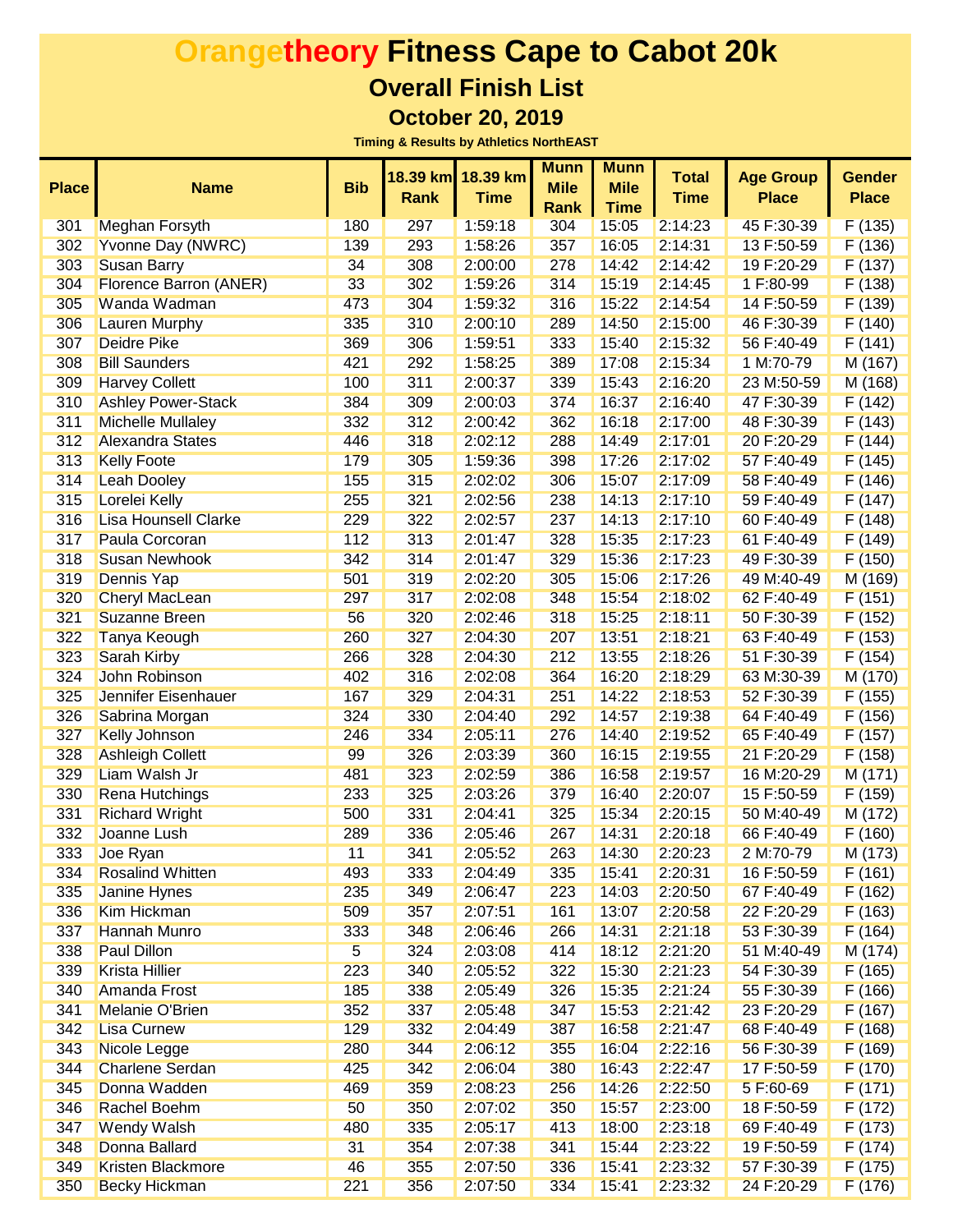|              |                               |            |             |             | <b>Munn</b> | <b>Munn</b> |              |                  |               |
|--------------|-------------------------------|------------|-------------|-------------|-------------|-------------|--------------|------------------|---------------|
| <b>Place</b> | <b>Name</b>                   | <b>Bib</b> | 18.39 km    | 18.39 km    | <b>Mile</b> | <b>Mile</b> | <b>Total</b> | <b>Age Group</b> | <b>Gender</b> |
|              |                               |            | <b>Rank</b> | <b>Time</b> | <b>Rank</b> | <b>Time</b> | <b>Time</b>  | <b>Place</b>     | <b>Place</b>  |
| 301          | <b>Meghan Forsyth</b>         | 180        | 297         | 1:59:18     | 304         | 15:05       | 2:14:23      | 45 F:30-39       | F(135)        |
| 302          | Yvonne Day (NWRC)             | 139        | 293         | 1:58:26     | 357         | 16:05       | 2:14:31      | 13 F:50-59       | F(136)        |
| 303          | <b>Susan Barry</b>            | 34         | 308         | 2:00:00     | 278         | 14:42       | 2:14:42      | 19 F:20-29       | F(137)        |
| 304          | <b>Florence Barron (ANER)</b> | 33         | 302         | 1:59:26     | 314         | 15:19       | 2:14:45      | 1 F:80-99        | F(138)        |
| 305          | Wanda Wadman                  | 473        | 304         | 1:59:32     | 316         | 15:22       | 2:14:54      | 14 F:50-59       | F(139)        |
| 306          | <b>Lauren Murphy</b>          | 335        | 310         | 2:00:10     | 289         | 14:50       | 2:15:00      | 46 F:30-39       | F(140)        |
| 307          | <b>Deidre Pike</b>            | 369        | 306         | 1:59:51     | 333         | 15:40       | 2:15:32      | 56 F:40-49       | F(141)        |
| 308          | <b>Bill Saunders</b>          | 421        | 292         | 1:58:25     | 389         | 17:08       | 2:15:34      | 1 M:70-79        | M (167)       |
| 309          | <b>Harvey Collett</b>         | 100        | 311         | 2:00:37     | 339         | 15:43       | 2:16:20      | 23 M:50-59       | M (168)       |
| 310          | <b>Ashley Power-Stack</b>     | 384        | 309         | 2:00:03     | 374         | 16:37       | 2:16:40      | 47 F:30-39       | F(142)        |
| 311          | <b>Michelle Mullaley</b>      | 332        | 312         | 2:00:42     | 362         | 16:18       | 2:17:00      | 48 F:30-39       | F(143)        |
| 312          | <b>Alexandra States</b>       | 446        | 318         | 2:02:12     | 288         | 14:49       | 2:17:01      | 20 F:20-29       | F(144)        |
| 313          | <b>Kelly Foote</b>            | 179        | 305         | 1:59:36     | 398         | 17:26       | 2:17:02      | 57 F:40-49       | F(145)        |
| 314          | <b>Leah Dooley</b>            | 155        | 315         | 2:02:02     | 306         | 15:07       | 2:17:09      | 58 F:40-49       | F(146)        |
| 315          | Lorelei Kelly                 | 255        | 321         | 2:02:56     | 238         | 14:13       | 2:17:10      | 59 F:40-49       | F(147)        |
| 316          | <b>Lisa Hounsell Clarke</b>   | 229        | 322         | 2:02:57     | 237         | 14:13       | 2:17:10      | 60 F:40-49       | F(148)        |
| 317          | Paula Corcoran                | 112        | 313         | 2:01:47     | 328         | 15:35       | 2:17:23      | 61 F:40-49       | F(149)        |
| 318          | <b>Susan Newhook</b>          | 342        | 314         | 2:01:47     | 329         | 15:36       | 2:17:23      | 49 F:30-39       | F(150)        |
| 319          | <b>Dennis Yap</b>             | 501        | 319         | 2:02:20     | 305         | 15:06       | 2:17:26      | 49 M:40-49       | M (169)       |
| 320          | <b>Cheryl MacLean</b>         | 297        | 317         | 2:02:08     | 348         | 15:54       | 2:18:02      | 62 F:40-49       | F(151)        |
| 321          | <b>Suzanne Breen</b>          | 56         | 320         | 2:02:46     | 318         | 15:25       | 2:18:11      | 50 F:30-39       | F(152)        |
| 322          | <b>Tanya Keough</b>           | 260        | 327         | 2:04:30     | 207         | 13:51       | 2:18:21      | 63 F:40-49       | F(153)        |
| 323          | <b>Sarah Kirby</b>            | 266        | 328         | 2:04:30     | 212         | 13:55       | 2:18:26      | 51 F:30-39       | F(154)        |
| 324          | <b>John Robinson</b>          | 402        | 316         | 2:02:08     | 364         | 16:20       | 2:18:29      | 63 M:30-39       | M (170)       |
| 325          | <b>Jennifer Eisenhauer</b>    | 167        | 329         | 2:04:31     | 251         | 14:22       | 2:18:53      | 52 F:30-39       | F(155)        |
| 326          | Sabrina Morgan                | 324        | 330         | 2:04:40     | 292         | 14:57       | 2:19:38      | 64 F:40-49       | F(156)        |
| 327          | <b>Kelly Johnson</b>          | 246        | 334         | 2:05:11     | 276         | 14:40       | 2:19:52      | 65 F:40-49       | F(157)        |
| 328          | <b>Ashleigh Collett</b>       | 99         | 326         | 2:03:39     | 360         | 16:15       | 2:19:55      | 21 F:20-29       | F(158)        |
| 329          | Liam Walsh Jr                 | 481        | 323         | 2:02:59     | 386         | 16:58       | 2:19:57      | 16 M:20-29       | M(171)        |
| 330          | <b>Rena Hutchings</b>         | 233        | 325         | 2:03:26     | 379         | 16:40       | 2:20:07      | 15 F:50-59       | F(159)        |
| 331          | <b>Richard Wright</b>         | 500        | 331         | 2:04:41     | 325         | 15:34       | 2:20:15      | 50 M:40-49       | M(172)        |
| 332          | Joanne Lush                   | 289        | 336         | 2:05:46     | 267         | 14:31       | 2:20:18      | 66 F:40-49       | F(160)        |
| 333          | Joe Ryan                      | 11         | 341         | 2:05:52     | 263         | 14:30       | 2:20:23      | 2 M:70-79        | M (173)       |
| 334          | <b>Rosalind Whitten</b>       | 493        | 333         | 2:04:49     | 335         | 15:41       | 2:20:31      | 16 F:50-59       | F(161)        |
| 335          | <b>Janine Hynes</b>           | 235        | 349         | 2:06:47     | 223         | 14:03       | 2:20:50      | 67 F:40-49       | F(162)        |
| 336          | <b>Kim Hickman</b>            | 509        | 357         | 2:07:51     | 161         | 13:07       | 2:20:58      | 22 F:20-29       | F(163)        |
| 337          | <b>Hannah Munro</b>           | 333        | 348         | 2:06:46     | 266         | 14:31       | 2:21:18      | 53 F:30-39       | F(164)        |
| 338          | <b>Paul Dillon</b>            | 5          | 324         | 2:03:08     | 414         | 18:12       | 2:21:20      | 51 M:40-49       | M (174)       |
| 339          | <b>Krista Hillier</b>         | 223        | 340         | 2:05:52     | 322         | 15:30       | 2:21:23      | 54 F:30-39       | F(165)        |
| 340          | <b>Amanda Frost</b>           | 185        | 338         | 2:05:49     | 326         | 15:35       | 2:21:24      | 55 F:30-39       | F(166)        |
| 341          | Melanie O'Brien               | 352        | 337         | 2:05:48     | 347         | 15:53       | 2:21:42      | 23 F:20-29       | F(167)        |
| 342          | <b>Lisa Curnew</b>            | 129        |             | 2:04:49     |             | 16:58       | 2:21:47      | 68 F:40-49       |               |
| 343          | Nicole Legge                  |            | 332         | 2:06:12     | 387         |             | 2:22:16      |                  | F(168)        |
| 344          | <b>Charlene Serdan</b>        | 280        | 344         |             | 355         | 16:04       |              | 56 F:30-39       | F(169)        |
|              |                               | 425        | 342         | 2:06:04     | 380         | 16:43       | 2:22:47      | 17 F:50-59       | F(170)        |
| 345          | Donna Wadden                  | 469        | 359         | 2:08:23     | 256         | 14:26       | 2:22:50      | 5 F:60-69        | F(171)        |
| 346          | Rachel Boehm                  | 50         | 350         | 2:07:02     | 350         | 15:57       | 2:23:00      | 18 F:50-59       | F(172)        |
| 347          | <b>Wendy Walsh</b>            | 480        | 335         | 2:05:17     | 413         | 18:00       | 2:23:18      | 69 F:40-49       | F(173)        |
| 348          | Donna Ballard                 | 31         | 354         | 2:07:38     | 341         | 15:44       | 2:23:22      | 19 F:50-59       | F(174)        |
| 349          | <b>Kristen Blackmore</b>      | 46         | 355         | 2:07:50     | 336         | 15:41       | 2:23:32      | 57 F:30-39       | F(175)        |
| 350          | <b>Becky Hickman</b>          | 221        | 356         | 2:07:50     | 334         | 15:41       | 2:23:32      | 24 F:20-29       | F(176)        |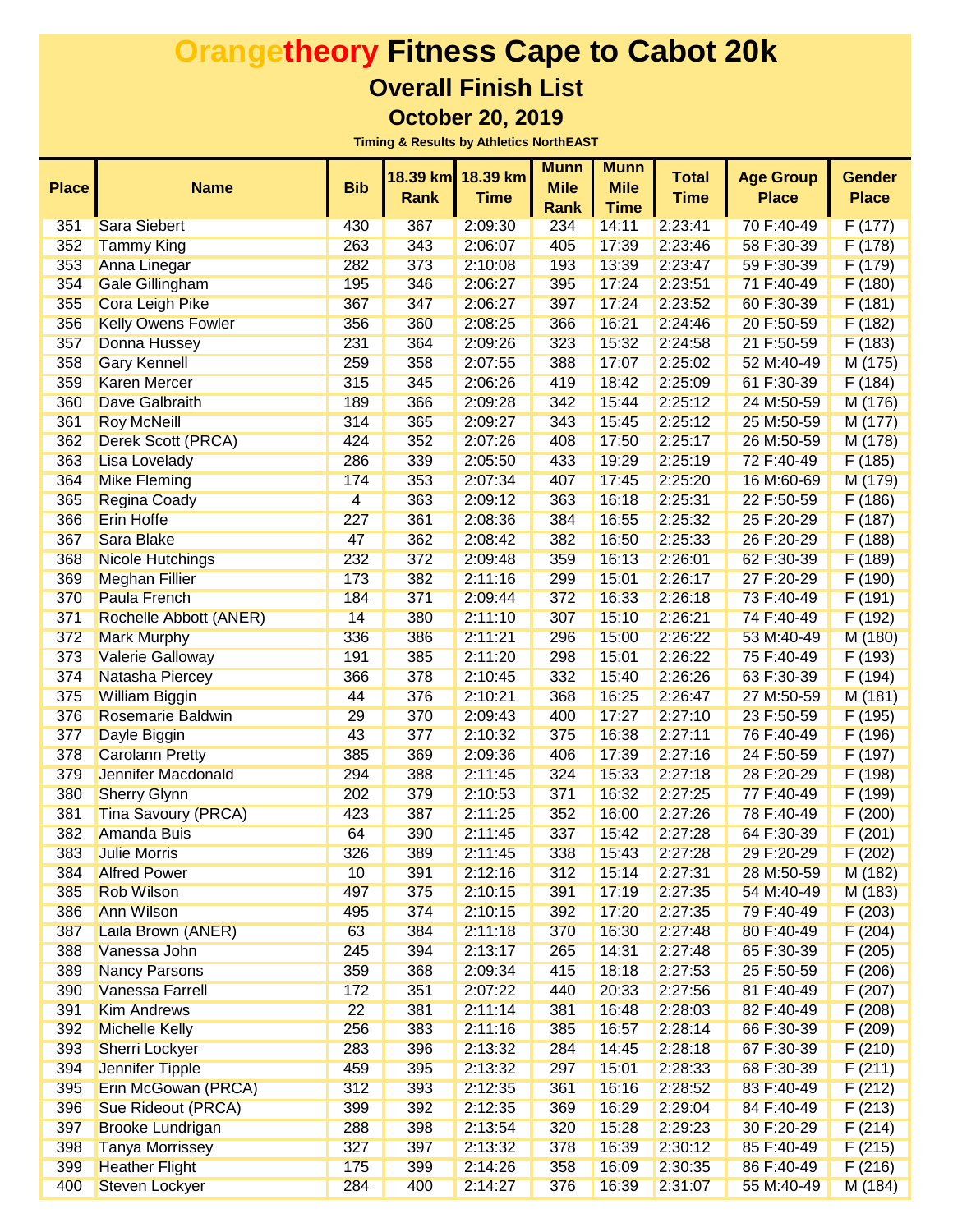|              |                            |                | 18.39 km | 18.39 km    | <b>Munn</b> | <b>Munn</b> | <b>Total</b> | <b>Age Group</b> | <b>Gender</b> |
|--------------|----------------------------|----------------|----------|-------------|-------------|-------------|--------------|------------------|---------------|
| <b>Place</b> | <b>Name</b>                | <b>Bib</b>     | Rank     | <b>Time</b> | <b>Mile</b> | <b>Mile</b> | <b>Time</b>  | <b>Place</b>     | <b>Place</b>  |
|              |                            |                |          |             | Rank        | <b>Time</b> |              |                  |               |
| 351          | <b>Sara Siebert</b>        | 430            | 367      | 2:09:30     | 234         | 14:11       | 2:23:41      | 70 F:40-49       | F(177)        |
| 352          | <b>Tammy King</b>          | 263            | 343      | 2:06:07     | 405         | 17:39       | 2:23:46      | 58 F:30-39       | F(178)        |
| 353          | Anna Linegar               | 282            | 373      | 2:10:08     | 193         | 13:39       | 2:23:47      | 59 F:30-39       | F(179)        |
| 354          | <b>Gale Gillingham</b>     | 195            | 346      | 2:06:27     | 395         | 17:24       | 2:23:51      | 71 F:40-49       | F(180)        |
| 355          | <b>Cora Leigh Pike</b>     | 367            | 347      | 2:06:27     | 397         | 17:24       | 2:23:52      | 60 F:30-39       | F(181)        |
| 356          | <b>Kelly Owens Fowler</b>  | 356            | 360      | 2:08:25     | 366         | 16:21       | 2:24:46      | 20 F:50-59       | F(182)        |
| 357          | Donna Hussey               | 231            | 364      | 2:09:26     | 323         | 15:32       | 2:24:58      | 21 F:50-59       | F(183)        |
| 358          | <b>Gary Kennell</b>        | 259            | 358      | 2:07:55     | 388         | 17:07       | 2:25:02      | 52 M:40-49       | M (175)       |
| 359          | <b>Karen Mercer</b>        | 315            | 345      | 2:06:26     | 419         | 18:42       | 2:25:09      | 61 F:30-39       | F(184)        |
| 360          | Dave Galbraith             | 189            | 366      | 2:09:28     | 342         | 15:44       | 2:25:12      | 24 M:50-59       | M (176)       |
| 361          | <b>Roy McNeill</b>         | 314            | 365      | 2:09:27     | 343         | 15:45       | 2:25:12      | 25 M:50-59       | M (177)       |
| 362          | Derek Scott (PRCA)         | 424            | 352      | 2:07:26     | 408         | 17:50       | 2:25:17      | 26 M:50-59       | M (178)       |
| 363          | <b>Lisa Lovelady</b>       | 286            | 339      | 2:05:50     | 433         | 19:29       | 2:25:19      | 72 F:40-49       | F(185)        |
| 364          | <b>Mike Fleming</b>        | 174            | 353      | 2:07:34     | 407         | 17:45       | 2:25:20      | 16 M:60-69       | M (179)       |
| 365          | <b>Regina Coady</b>        | $\overline{4}$ | 363      | 2:09:12     | 363         | 16:18       | 2:25:31      | 22 F:50-59       | F(186)        |
| 366          | <b>Erin Hoffe</b>          | 227            | 361      | 2:08:36     | 384         | 16:55       | 2:25:32      | 25 F:20-29       | F(187)        |
| 367          | Sara Blake                 | 47             | 362      | 2:08:42     | 382         | 16:50       | 2:25:33      | 26 F:20-29       | F(188)        |
| 368          | <b>Nicole Hutchings</b>    | 232            | 372      | 2:09:48     | 359         | 16:13       | 2:26:01      | 62 F:30-39       | F(189)        |
| 369          | <b>Meghan Fillier</b>      | 173            | 382      | 2:11:16     | 299         | 15:01       | 2:26:17      | 27 F:20-29       | F(190)        |
| 370          | Paula French               | 184            | 371      | 2:09:44     | 372         | 16:33       | 2:26:18      | 73 F:40-49       | F(191)        |
| 371          | Rochelle Abbott (ANER)     | 14             | 380      | 2:11:10     | 307         | 15:10       | 2:26:21      | 74 F:40-49       | F(192)        |
| 372          | <b>Mark Murphy</b>         | 336            | 386      | 2:11:21     | 296         | 15:00       | 2:26:22      | 53 M:40-49       | M (180)       |
| 373          | <b>Valerie Galloway</b>    | 191            | 385      | 2:11:20     | 298         | 15:01       | 2:26:22      | 75 F:40-49       | F(193)        |
| 374          | Natasha Piercey            | 366            | 378      | 2:10:45     | 332         | 15:40       | 2:26:26      | 63 F:30-39       | F(194)        |
| 375          | <b>William Biggin</b>      | 44             | 376      | 2:10:21     | 368         | 16:25       | 2:26:47      | 27 M:50-59       | M(181)        |
| 376          | <b>Rosemarie Baldwin</b>   | 29             | 370      | 2:09:43     | 400         | 17:27       | 2:27:10      | 23 F:50-59       | F(195)        |
| 377          | Dayle Biggin               | 43             | 377      | 2:10:32     | 375         | 16:38       | 2:27:11      | 76 F:40-49       | F(196)        |
| 378          | <b>Carolann Pretty</b>     | 385            | 369      | 2:09:36     | 406         | 17:39       | 2:27:16      | 24 F:50-59       | F(197)        |
| 379          | Jennifer Macdonald         | 294            | 388      | 2:11:45     | 324         | 15:33       | 2:27:18      | 28 F:20-29       | F(198)        |
| 380          | <b>Sherry Glynn</b>        | 202            | 379      | 2:10:53     | 371         | 16:32       | 2:27:25      | 77 F:40-49       | F (199)       |
| 381          | <b>Tina Savoury (PRCA)</b> | 423            | 387      | 2:11:25     | 352         | 16:00       | 2:27:26      | 78 F:40-49       | F(200)        |
| 382          | <b>Amanda Buis</b>         | 64             | 390      | 2:11:45     | 337         | 15:42       | 2:27:28      | 64 F:30-39       | F(201)        |
| 383          | <b>Julie Morris</b>        | 326            | 389      | 2:11:45     | 338         | 15:43       | 2:27:28      | 29 F:20-29       | F(202)        |
| 384          | <b>Alfred Power</b>        | 10             | 391      | 2:12:16     | 312         | 15:14       | 2:27:31      | 28 M:50-59       | M (182)       |
| 385          | <b>Rob Wilson</b>          | 497            | 375      | 2:10:15     | 391         | 17:19       | 2:27:35      | 54 M:40-49       | M (183)       |
| 386          | Ann Wilson                 | 495            | 374      | 2:10:15     | 392         | 17:20       | 2:27:35      | 79 F:40-49       | F(203)        |
| 387          | Laila Brown (ANER)         | 63             | 384      | 2:11:18     | 370         | 16:30       | 2:27:48      | 80 F:40-49       | F(204)        |
| 388          | Vanessa John               | 245            | 394      | 2:13:17     | 265         | 14:31       | 2:27:48      | 65 F:30-39       | F(205)        |
| 389          | <b>Nancy Parsons</b>       | 359            | 368      | 2:09:34     | 415         | 18:18       | 2:27:53      | 25 F:50-59       | F(206)        |
| 390          | <b>Vanessa Farrell</b>     | 172            | 351      | 2:07:22     | 440         | 20:33       | 2:27:56      | 81 F:40-49       | F(207)        |
| 391          | <b>Kim Andrews</b>         | 22             | 381      | 2:11:14     | 381         | 16:48       | 2:28:03      | 82 F:40-49       | F(208)        |
| 392          | <b>Michelle Kelly</b>      | 256            | 383      | 2:11:16     | 385         | 16:57       | 2:28:14      | 66 F:30-39       | F(209)        |
| 393          | <b>Sherri Lockyer</b>      | 283            | 396      | 2:13:32     | 284         | 14:45       | 2:28:18      | 67 F:30-39       | F(210)        |
| 394          | Jennifer Tipple            | 459            | 395      | 2:13:32     | 297         | 15:01       | 2:28:33      | 68 F:30-39       | F(211)        |
| 395          | Erin McGowan (PRCA)        | 312            | 393      | 2:12:35     | 361         | 16:16       | 2:28:52      | 83 F:40-49       | F(212)        |
| 396          | Sue Rideout (PRCA)         | 399            | 392      | 2:12:35     | 369         | 16:29       | 2:29:04      | 84 F:40-49       | F(213)        |
| 397          | <b>Brooke Lundrigan</b>    | 288            | 398      | 2:13:54     | 320         | 15:28       | 2:29:23      | 30 F:20-29       | F(214)        |
| 398          | <b>Tanya Morrissey</b>     | 327            | 397      | 2:13:32     | 378         | 16:39       | 2:30:12      | 85 F:40-49       | F(215)        |
| 399          | <b>Heather Flight</b>      | 175            | 399      | 2:14:26     | 358         | 16:09       | 2:30:35      | 86 F:40-49       | F(216)        |
| 400          | <b>Steven Lockyer</b>      | 284            | 400      | 2:14:27     | 376         | 16:39       | 2:31:07      | 55 M:40-49       | M (184)       |